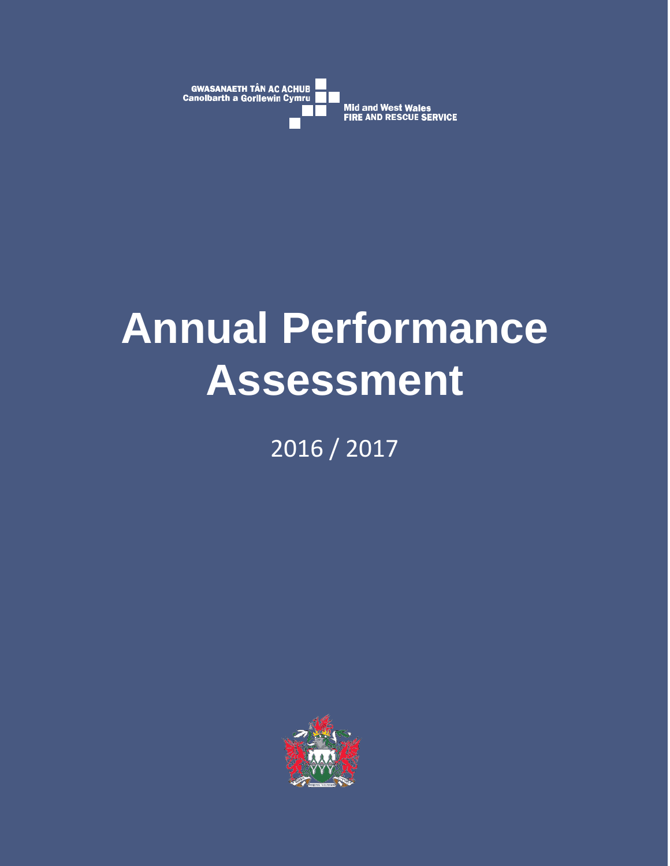

# **Annual Performance Assessment**

2016 / 2017

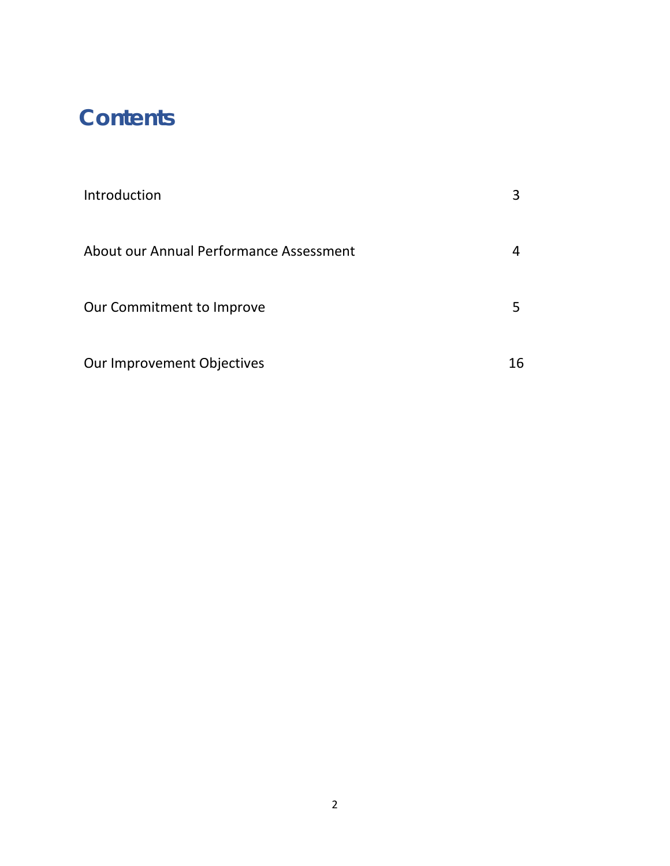# **Contents**

| Introduction                            |    |
|-----------------------------------------|----|
| About our Annual Performance Assessment |    |
| Our Commitment to Improve               |    |
| Our Improvement Objectives              | 16 |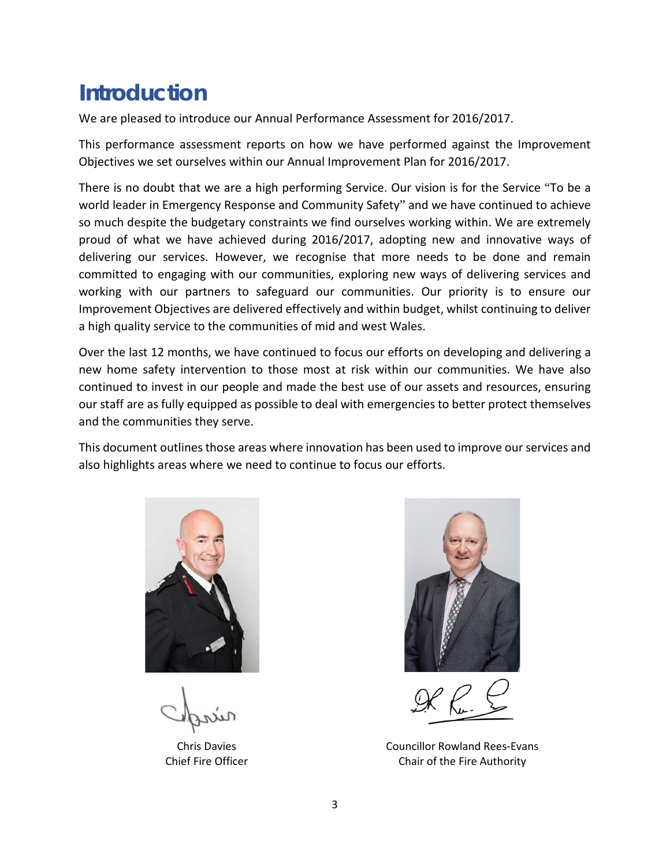# **Introduction**

We are pleased to introduce our Annual Performance Assessment for 2016/2017.

This performance assessment reports on how we have performed against the Improvement Objectives we set ourselves within our Annual Improvement Plan for 2016/2017.

There is no doubt that we are a high performing Service. Our vision is for the Service "To be a world leader in Emergency Response and Community Safety" and we have continued to achieve so much despite the budgetary constraints we find ourselves working within. We are extremely proud of what we have achieved during 2016/2017, adopting new and innovative ways of delivering our services. However, we recognise that more needs to be done and remain committed to engaging with our communities, exploring new ways of delivering services and working with our partners to safeguard our communities. Our priority is to ensure our Improvement Objectives are delivered effectively and within budget, whilst continuing to deliver a high quality service to the communities of mid and west Wales.

Over the last 12 months, we have continued to focus our efforts on developing and delivering a new home safety intervention to those most at risk within our communities. We have also continued to invest in our people and made the best use of our assets and resources, ensuring our staff are as fully equipped as possible to deal with emergencies to better protect themselves and the communities they serve.

This document outlines those areas where innovation has been used to improve our services and also highlights areas where we need to continue to focus our efforts.



Chris Davies Chief Fire Officer



Councillor Rowland Rees-Evans Chair of the Fire Authority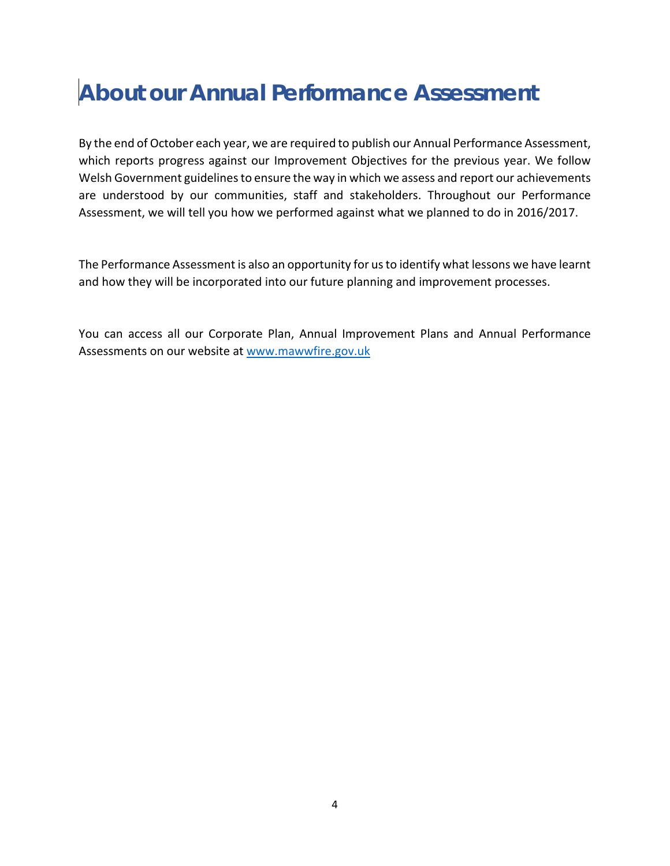# **About our Annual Performance Assessment**

By the end of October each year, we are required to publish our Annual Performance Assessment, which reports progress against our Improvement Objectives for the previous year. We follow Welsh Government guidelines to ensure the way in which we assess and report our achievements are understood by our communities, staff and stakeholders. Throughout our Performance Assessment, we will tell you how we performed against what we planned to do in 2016/2017.

The Performance Assessment is also an opportunity for us to identify what lessons we have learnt and how they will be incorporated into our future planning and improvement processes.

You can access all our Corporate Plan, Annual Improvement Plans and Annual Performance Assessments on our website at [www.mawwfire.gov.uk](http://www.mawwfire.gov.uk/)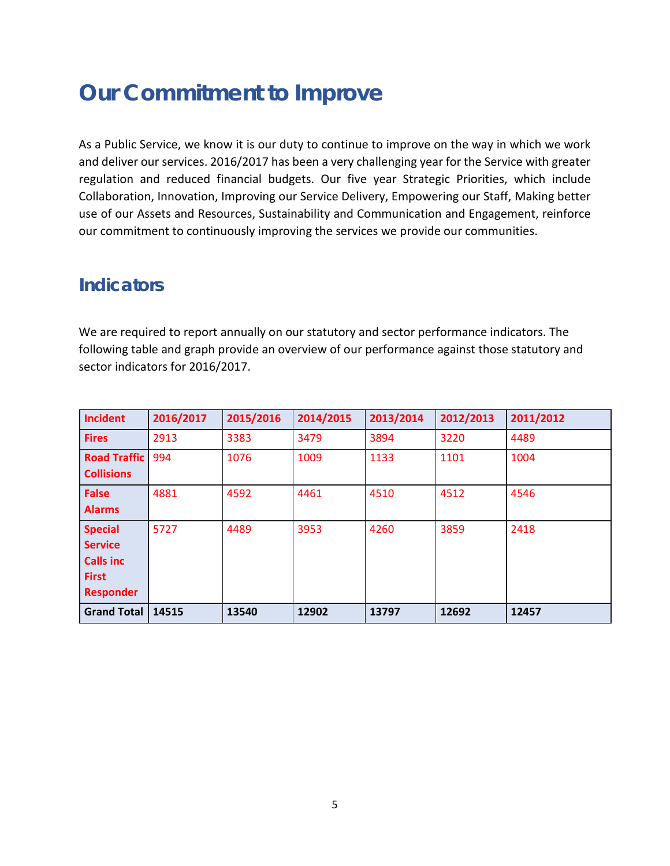# **Our Commitment to Improve**

As a Public Service, we know it is our duty to continue to improve on the way in which we work and deliver our services. 2016/2017 has been a very challenging year for the Service with greater regulation and reduced financial budgets. Our five year Strategic Priorities, which include Collaboration, Innovation, Improving our Service Delivery, Empowering our Staff, Making better use of our Assets and Resources, Sustainability and Communication and Engagement, reinforce our commitment to continuously improving the services we provide our communities.

## **Indicators**

We are required to report annually on our statutory and sector performance indicators. The following table and graph provide an overview of our performance against those statutory and sector indicators for 2016/2017.

| <b>Incident</b>                                                                          | 2016/2017 | 2015/2016 | 2014/2015 | 2013/2014 | 2012/2013 | 2011/2012 |
|------------------------------------------------------------------------------------------|-----------|-----------|-----------|-----------|-----------|-----------|
| <b>Fires</b>                                                                             | 2913      | 3383      | 3479      | 3894      | 3220      | 4489      |
| <b>Road Traffic</b><br><b>Collisions</b>                                                 | 994       | 1076      | 1009      | 1133      | 1101      | 1004      |
| <b>False</b><br><b>Alarms</b>                                                            | 4881      | 4592      | 4461      | 4510      | 4512      | 4546      |
| <b>Special</b><br><b>Service</b><br><b>Calls inc</b><br><b>First</b><br><b>Responder</b> | 5727      | 4489      | 3953      | 4260      | 3859      | 2418      |
| <b>Grand Total</b>                                                                       | 14515     | 13540     | 12902     | 13797     | 12692     | 12457     |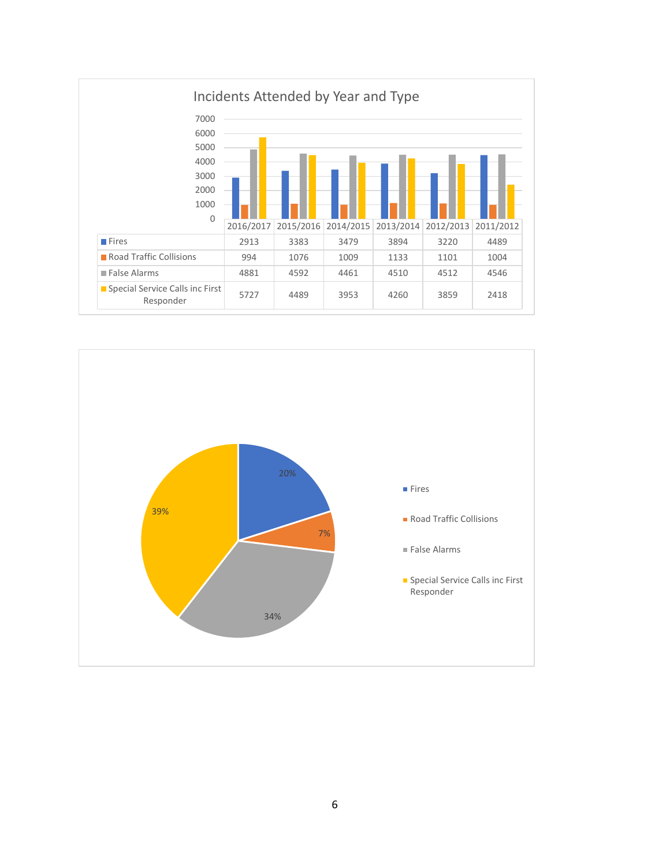

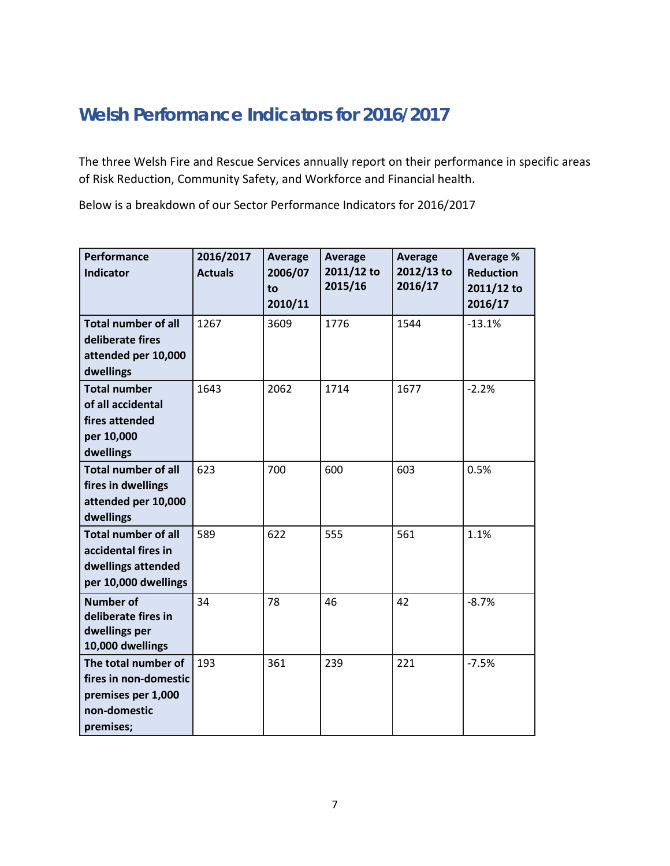# **Welsh Performance Indicators for 2016/2017**

The three Welsh Fire and Rescue Services annually report on their performance in specific areas of Risk Reduction, Community Safety, and Workforce and Financial health.

Below is a breakdown of our Sector Performance Indicators for 2016/2017

| Performance<br><b>Indicator</b>                                                                 | 2016/2017<br><b>Actuals</b> | Average<br>2006/07<br>to<br>2010/11 | Average<br>2011/12 to<br>2015/16 | Average<br>2012/13 to<br>2016/17 | Average %<br><b>Reduction</b><br>2011/12 to<br>2016/17 |
|-------------------------------------------------------------------------------------------------|-----------------------------|-------------------------------------|----------------------------------|----------------------------------|--------------------------------------------------------|
| <b>Total number of all</b><br>deliberate fires<br>attended per 10,000<br>dwellings              | 1267                        | 3609                                | 1776                             | 1544                             | $-13.1%$                                               |
| <b>Total number</b><br>of all accidental<br>fires attended<br>per 10,000<br>dwellings           | 1643                        | 2062                                | 1714                             | 1677                             | $-2.2%$                                                |
| <b>Total number of all</b><br>fires in dwellings<br>attended per 10,000<br>dwellings            | 623                         | 700                                 | 600                              | 603                              | 0.5%                                                   |
| <b>Total number of all</b><br>accidental fires in<br>dwellings attended<br>per 10,000 dwellings | 589                         | 622                                 | 555                              | 561                              | 1.1%                                                   |
| <b>Number of</b><br>deliberate fires in<br>dwellings per<br>10,000 dwellings                    | 34                          | 78                                  | 46                               | 42                               | $-8.7%$                                                |
| The total number of<br>fires in non-domestic<br>premises per 1,000<br>non-domestic<br>premises; | 193                         | 361                                 | 239                              | 221                              | $-7.5%$                                                |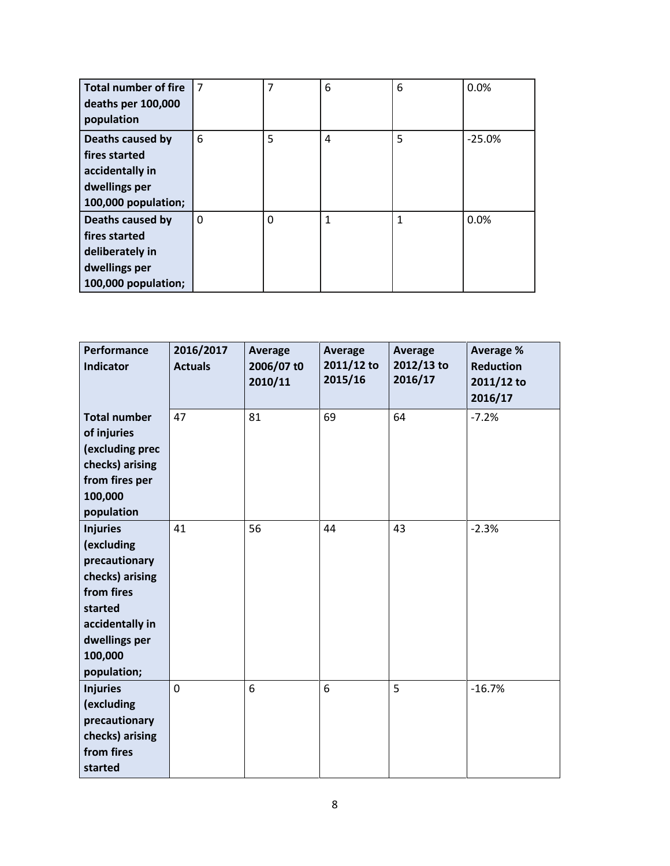| <b>Total number of fire</b><br>deaths per 100,000<br>population                              | $\overline{7}$ | 7        | 6            | 6            | 0.0%     |
|----------------------------------------------------------------------------------------------|----------------|----------|--------------|--------------|----------|
| Deaths caused by<br>fires started<br>accidentally in<br>dwellings per<br>100,000 population; | 6              | 5        | 4            | 5            | $-25.0%$ |
| Deaths caused by<br>fires started<br>deliberately in<br>dwellings per<br>100,000 population; | $\mathbf{0}$   | $\Omega$ | $\mathbf{1}$ | $\mathbf{1}$ | 0.0%     |

| Performance<br><b>Indicator</b>                                                                                                                          | 2016/2017<br><b>Actuals</b> | <b>Average</b><br>2006/07 t0<br>2010/11 | Average<br>2011/12 to<br>2015/16 | <b>Average</b><br>2012/13 to<br>2016/17 | <b>Average %</b><br><b>Reduction</b><br>2011/12 to<br>2016/17 |
|----------------------------------------------------------------------------------------------------------------------------------------------------------|-----------------------------|-----------------------------------------|----------------------------------|-----------------------------------------|---------------------------------------------------------------|
| <b>Total number</b><br>of injuries<br>(excluding prec<br>checks) arising<br>from fires per<br>100,000<br>population                                      | 47                          | 81                                      | 69                               | 64                                      | $-7.2%$                                                       |
| <b>Injuries</b><br>(excluding<br>precautionary<br>checks) arising<br>from fires<br>started<br>accidentally in<br>dwellings per<br>100,000<br>population; | 41                          | 56                                      | 44                               | 43                                      | $-2.3%$                                                       |
| <b>Injuries</b><br>(excluding<br>precautionary<br>checks) arising<br>from fires<br>started                                                               | 0                           | 6                                       | 6                                | 5                                       | $-16.7%$                                                      |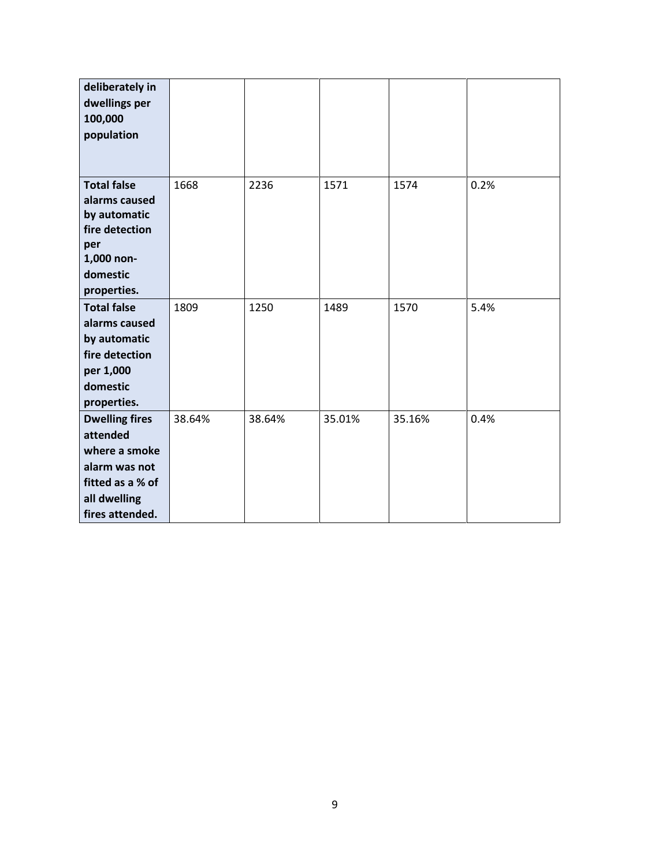| deliberately in<br>dwellings per<br>100,000<br>population                                                                  |        |        |        |        |      |
|----------------------------------------------------------------------------------------------------------------------------|--------|--------|--------|--------|------|
| <b>Total false</b><br>alarms caused<br>by automatic<br>fire detection<br>per<br>1,000 non-<br>domestic<br>properties.      | 1668   | 2236   | 1571   | 1574   | 0.2% |
| <b>Total false</b><br>alarms caused<br>by automatic<br>fire detection<br>per 1,000<br>domestic<br>properties.              | 1809   | 1250   | 1489   | 1570   | 5.4% |
| <b>Dwelling fires</b><br>attended<br>where a smoke<br>alarm was not<br>fitted as a % of<br>all dwelling<br>fires attended. | 38.64% | 38.64% | 35.01% | 35.16% | 0.4% |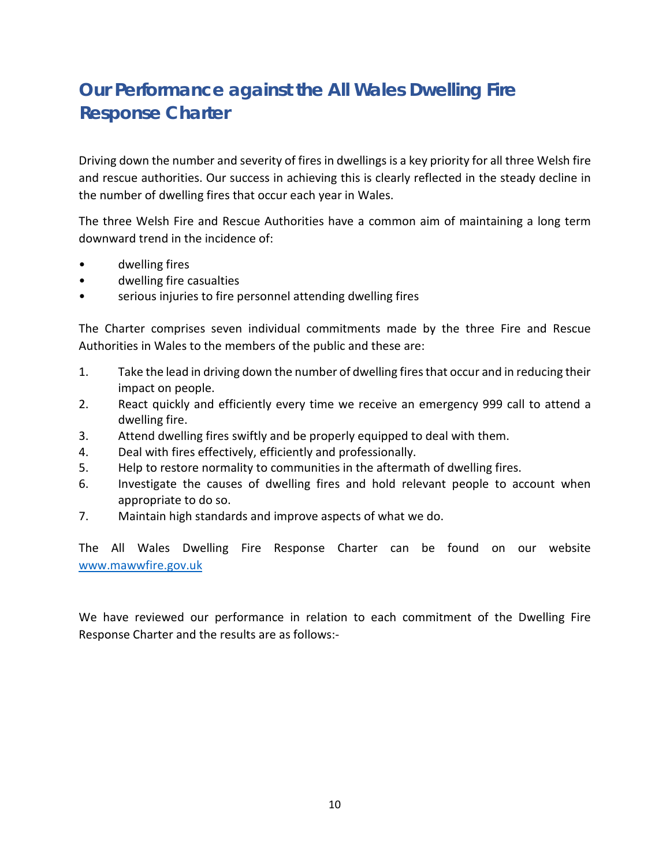# **Our Performance against the All Wales Dwelling Fire Response Charter**

Driving down the number and severity of fires in dwellings is a key priority for all three Welsh fire and rescue authorities. Our success in achieving this is clearly reflected in the steady decline in the number of dwelling fires that occur each year in Wales.

The three Welsh Fire and Rescue Authorities have a common aim of maintaining a long term downward trend in the incidence of:

- dwelling fires
- dwelling fire casualties
- serious injuries to fire personnel attending dwelling fires

The Charter comprises seven individual commitments made by the three Fire and Rescue Authorities in Wales to the members of the public and these are:

- 1. Take the lead in driving down the number of dwelling fires that occur and in reducing their impact on people.
- 2. React quickly and efficiently every time we receive an emergency 999 call to attend a dwelling fire.
- 3. Attend dwelling fires swiftly and be properly equipped to deal with them.
- 4. Deal with fires effectively, efficiently and professionally.
- 5. Help to restore normality to communities in the aftermath of dwelling fires.
- 6. Investigate the causes of dwelling fires and hold relevant people to account when appropriate to do so.
- 7. Maintain high standards and improve aspects of what we do.

The All Wales Dwelling Fire Response Charter can be found on our website [www.mawwfire.gov.uk](http://www.mawwfire.gov.uk/)

We have reviewed our performance in relation to each commitment of the Dwelling Fire Response Charter and the results are as follows:-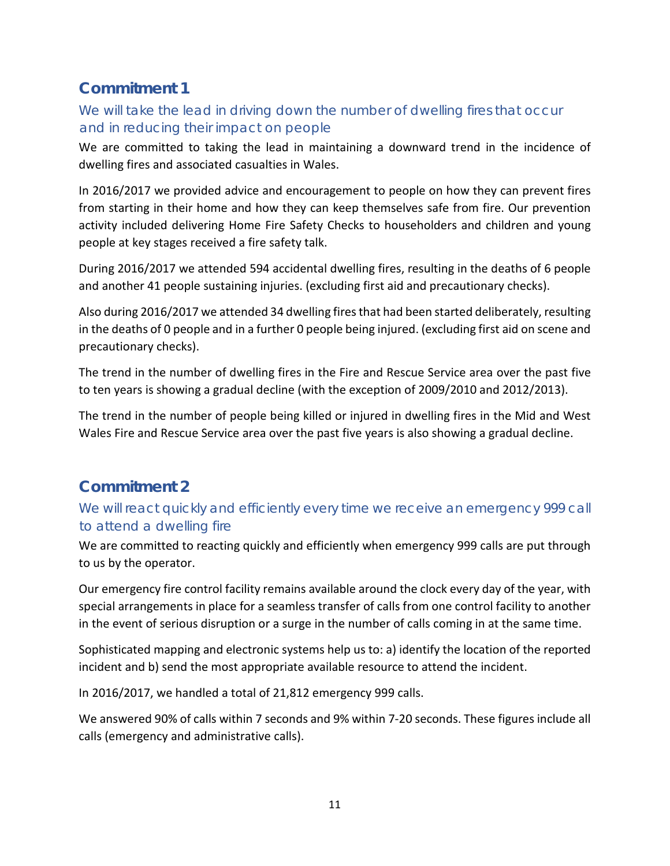## **Commitment 1**

#### *We will take the lead in driving down the number of dwelling fires that occur and in reducing their impact on people*

We are committed to taking the lead in maintaining a downward trend in the incidence of dwelling fires and associated casualties in Wales.

In 2016/2017 we provided advice and encouragement to people on how they can prevent fires from starting in their home and how they can keep themselves safe from fire. Our prevention activity included delivering Home Fire Safety Checks to householders and children and young people at key stages received a fire safety talk.

During 2016/2017 we attended 594 accidental dwelling fires, resulting in the deaths of 6 people and another 41 people sustaining injuries. (excluding first aid and precautionary checks).

Also during 2016/2017 we attended 34 dwelling fires that had been started deliberately, resulting in the deaths of 0 people and in a further 0 people being injured. (excluding first aid on scene and precautionary checks).

The trend in the number of dwelling fires in the Fire and Rescue Service area over the past five to ten years is showing a gradual decline (with the exception of 2009/2010 and 2012/2013).

The trend in the number of people being killed or injured in dwelling fires in the Mid and West Wales Fire and Rescue Service area over the past five years is also showing a gradual decline.

## **Commitment 2**

#### *We will react quickly and efficiently every time we receive an emergency 999 call to attend a dwelling fire*

We are committed to reacting quickly and efficiently when emergency 999 calls are put through to us by the operator.

Our emergency fire control facility remains available around the clock every day of the year, with special arrangements in place for a seamless transfer of calls from one control facility to another in the event of serious disruption or a surge in the number of calls coming in at the same time.

Sophisticated mapping and electronic systems help us to: a) identify the location of the reported incident and b) send the most appropriate available resource to attend the incident.

In 2016/2017, we handled a total of 21,812 emergency 999 calls.

We answered 90% of calls within 7 seconds and 9% within 7-20 seconds. These figures include all calls (emergency and administrative calls).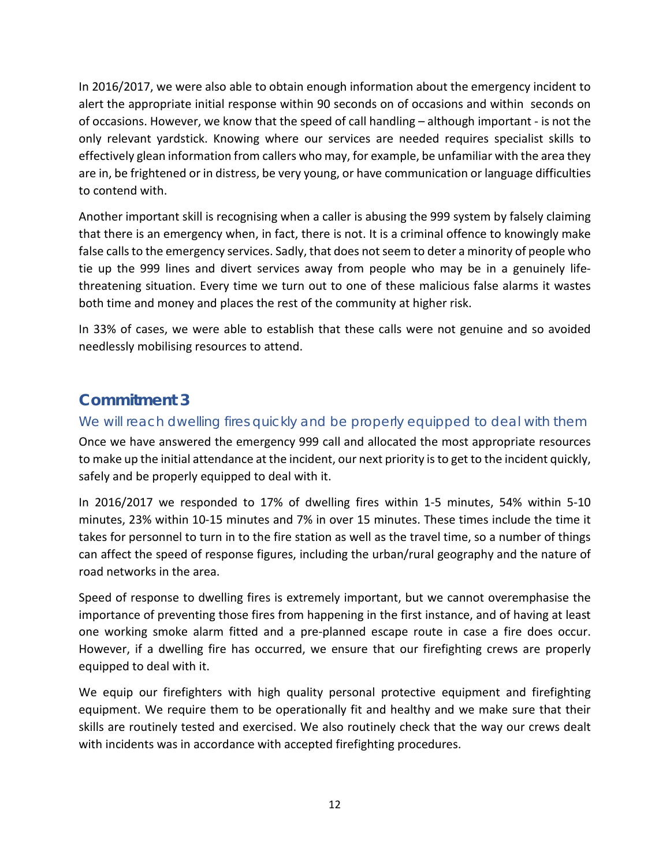In 2016/2017, we were also able to obtain enough information about the emergency incident to alert the appropriate initial response within 90 seconds on of occasions and within seconds on of occasions. However, we know that the speed of call handling – although important - is not the only relevant yardstick. Knowing where our services are needed requires specialist skills to effectively glean information from callers who may, for example, be unfamiliar with the area they are in, be frightened or in distress, be very young, or have communication or language difficulties to contend with.

Another important skill is recognising when a caller is abusing the 999 system by falsely claiming that there is an emergency when, in fact, there is not. It is a criminal offence to knowingly make false calls to the emergency services. Sadly, that does not seem to deter a minority of people who tie up the 999 lines and divert services away from people who may be in a genuinely lifethreatening situation. Every time we turn out to one of these malicious false alarms it wastes both time and money and places the rest of the community at higher risk.

In 33% of cases, we were able to establish that these calls were not genuine and so avoided needlessly mobilising resources to attend.

## **Commitment 3**

#### *We will reach dwelling fires quickly and be properly equipped to deal with them*

Once we have answered the emergency 999 call and allocated the most appropriate resources to make up the initial attendance at the incident, our next priority is to get to the incident quickly, safely and be properly equipped to deal with it.

In 2016/2017 we responded to 17% of dwelling fires within 1-5 minutes, 54% within 5-10 minutes, 23% within 10-15 minutes and 7% in over 15 minutes. These times include the time it takes for personnel to turn in to the fire station as well as the travel time, so a number of things can affect the speed of response figures, including the urban/rural geography and the nature of road networks in the area.

Speed of response to dwelling fires is extremely important, but we cannot overemphasise the importance of preventing those fires from happening in the first instance, and of having at least one working smoke alarm fitted and a pre-planned escape route in case a fire does occur. However, if a dwelling fire has occurred, we ensure that our firefighting crews are properly equipped to deal with it.

We equip our firefighters with high quality personal protective equipment and firefighting equipment. We require them to be operationally fit and healthy and we make sure that their skills are routinely tested and exercised. We also routinely check that the way our crews dealt with incidents was in accordance with accepted firefighting procedures.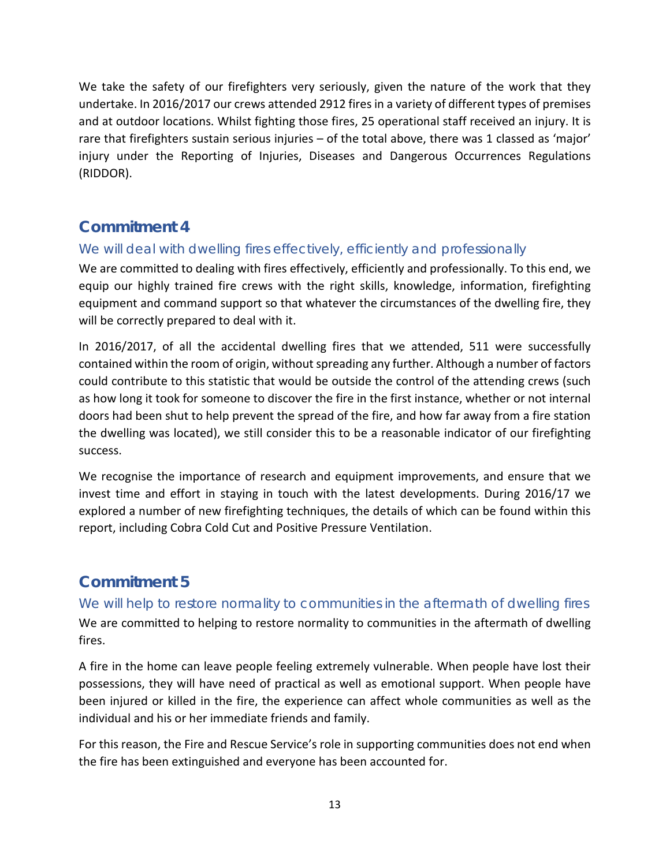We take the safety of our firefighters very seriously, given the nature of the work that they undertake. In 2016/2017 our crews attended 2912 fires in a variety of different types of premises and at outdoor locations. Whilst fighting those fires, 25 operational staff received an injury. It is rare that firefighters sustain serious injuries – of the total above, there was 1 classed as 'major' injury under the Reporting of Injuries, Diseases and Dangerous Occurrences Regulations (RIDDOR).

#### **Commitment 4**

#### *We will deal with dwelling fires effectively, efficiently and professionally*

We are committed to dealing with fires effectively, efficiently and professionally. To this end, we equip our highly trained fire crews with the right skills, knowledge, information, firefighting equipment and command support so that whatever the circumstances of the dwelling fire, they will be correctly prepared to deal with it.

In 2016/2017, of all the accidental dwelling fires that we attended, 511 were successfully contained within the room of origin, without spreading any further. Although a number of factors could contribute to this statistic that would be outside the control of the attending crews (such as how long it took for someone to discover the fire in the first instance, whether or not internal doors had been shut to help prevent the spread of the fire, and how far away from a fire station the dwelling was located), we still consider this to be a reasonable indicator of our firefighting success.

We recognise the importance of research and equipment improvements, and ensure that we invest time and effort in staying in touch with the latest developments. During 2016/17 we explored a number of new firefighting techniques, the details of which can be found within this report, including Cobra Cold Cut and Positive Pressure Ventilation.

# **Commitment 5**

#### *We will help to restore normality to communities in the aftermath of dwelling fires*

We are committed to helping to restore normality to communities in the aftermath of dwelling fires.

A fire in the home can leave people feeling extremely vulnerable. When people have lost their possessions, they will have need of practical as well as emotional support. When people have been injured or killed in the fire, the experience can affect whole communities as well as the individual and his or her immediate friends and family.

For this reason, the Fire and Rescue Service's role in supporting communities does not end when the fire has been extinguished and everyone has been accounted for.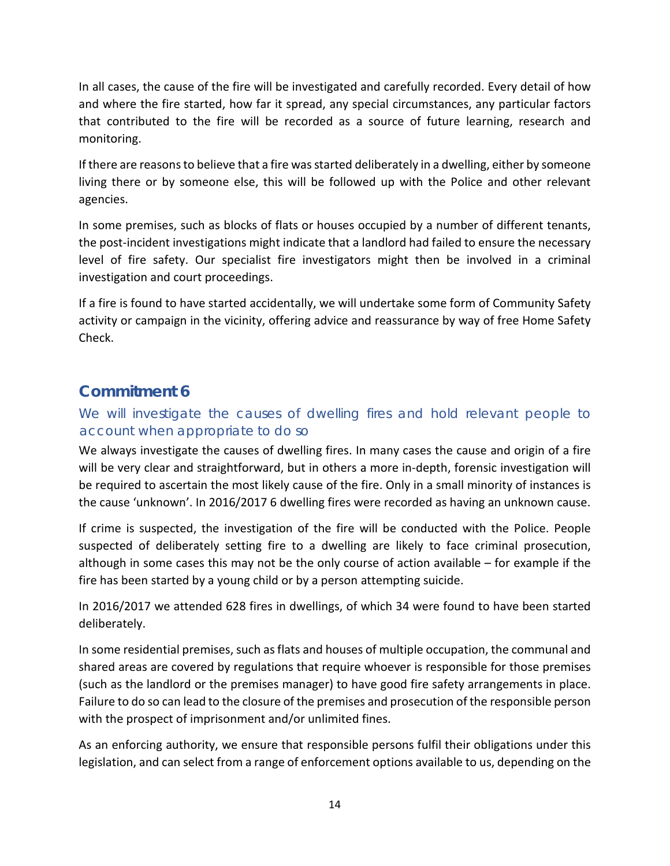In all cases, the cause of the fire will be investigated and carefully recorded. Every detail of how and where the fire started, how far it spread, any special circumstances, any particular factors that contributed to the fire will be recorded as a source of future learning, research and monitoring.

If there are reasons to believe that a fire was started deliberately in a dwelling, either by someone living there or by someone else, this will be followed up with the Police and other relevant agencies.

In some premises, such as blocks of flats or houses occupied by a number of different tenants, the post-incident investigations might indicate that a landlord had failed to ensure the necessary level of fire safety. Our specialist fire investigators might then be involved in a criminal investigation and court proceedings.

If a fire is found to have started accidentally, we will undertake some form of Community Safety activity or campaign in the vicinity, offering advice and reassurance by way of free Home Safety Check.

#### **Commitment 6**

#### We will investigate the causes of dwelling fires and hold relevant people to *account when appropriate to do so*

We always investigate the causes of dwelling fires. In many cases the cause and origin of a fire will be very clear and straightforward, but in others a more in-depth, forensic investigation will be required to ascertain the most likely cause of the fire. Only in a small minority of instances is the cause 'unknown'. In 2016/2017 6 dwelling fires were recorded as having an unknown cause.

If crime is suspected, the investigation of the fire will be conducted with the Police. People suspected of deliberately setting fire to a dwelling are likely to face criminal prosecution, although in some cases this may not be the only course of action available – for example if the fire has been started by a young child or by a person attempting suicide.

In 2016/2017 we attended 628 fires in dwellings, of which 34 were found to have been started deliberately.

In some residential premises, such as flats and houses of multiple occupation, the communal and shared areas are covered by regulations that require whoever is responsible for those premises (such as the landlord or the premises manager) to have good fire safety arrangements in place. Failure to do so can lead to the closure of the premises and prosecution of the responsible person with the prospect of imprisonment and/or unlimited fines.

As an enforcing authority, we ensure that responsible persons fulfil their obligations under this legislation, and can select from a range of enforcement options available to us, depending on the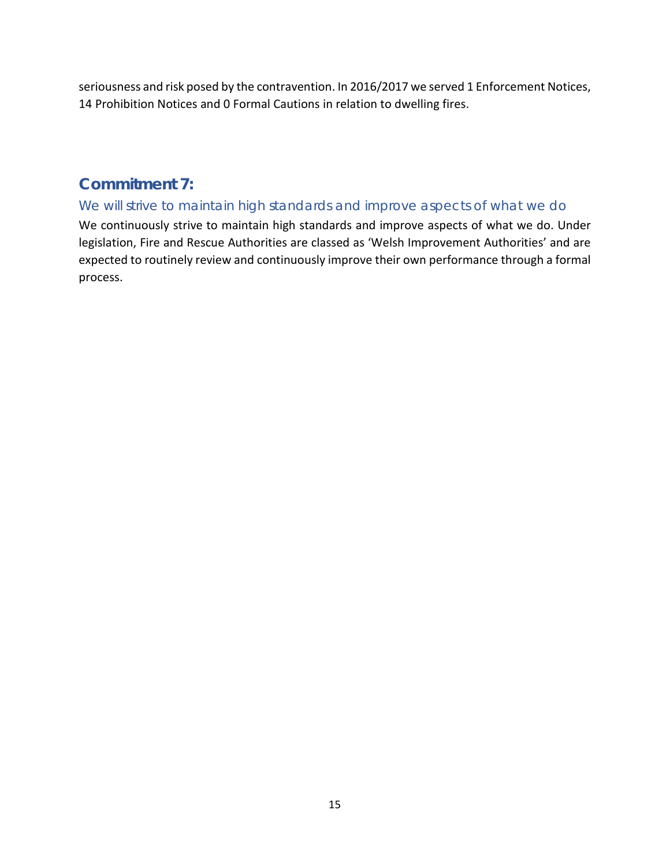seriousness and risk posed by the contravention. In 2016/2017 we served 1 Enforcement Notices, 14 Prohibition Notices and 0 Formal Cautions in relation to dwelling fires.

#### **Commitment 7:**

#### *We will strive to maintain high standards and improve aspects of what we do*

We continuously strive to maintain high standards and improve aspects of what we do. Under legislation, Fire and Rescue Authorities are classed as 'Welsh Improvement Authorities' and are expected to routinely review and continuously improve their own performance through a formal process.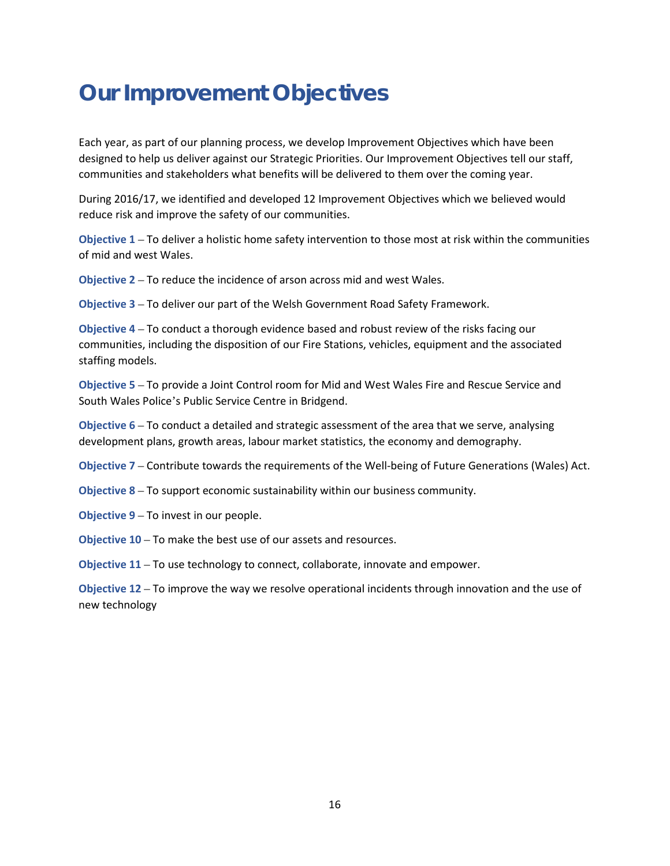# **Our Improvement Objectives**

Each year, as part of our planning process, we develop Improvement Objectives which have been designed to help us deliver against our Strategic Priorities. Our Improvement Objectives tell our staff, communities and stakeholders what benefits will be delivered to them over the coming year.

During 2016/17, we identified and developed 12 Improvement Objectives which we believed would reduce risk and improve the safety of our communities.

**Objective 1** – To deliver a holistic home safety intervention to those most at risk within the communities of mid and west Wales.

**Objective 2** – To reduce the incidence of arson across mid and west Wales.

**Objective 3** – To deliver our part of the Welsh Government Road Safety Framework.

**Objective 4** – To conduct a thorough evidence based and robust review of the risks facing our communities, including the disposition of our Fire Stations, vehicles, equipment and the associated staffing models.

**Objective 5** – To provide a Joint Control room for Mid and West Wales Fire and Rescue Service and South Wales Police's Public Service Centre in Bridgend.

**Objective 6** – To conduct a detailed and strategic assessment of the area that we serve, analysing development plans, growth areas, labour market statistics, the economy and demography.

**Objective 7** – Contribute towards the requirements of the Well-being of Future Generations (Wales) Act.

**Objective 8** – To support economic sustainability within our business community.

**Objective 9** – To invest in our people.

**Objective 10** – To make the best use of our assets and resources.

**Objective 11** – To use technology to connect, collaborate, innovate and empower.

**Objective 12** – To improve the way we resolve operational incidents through innovation and the use of new technology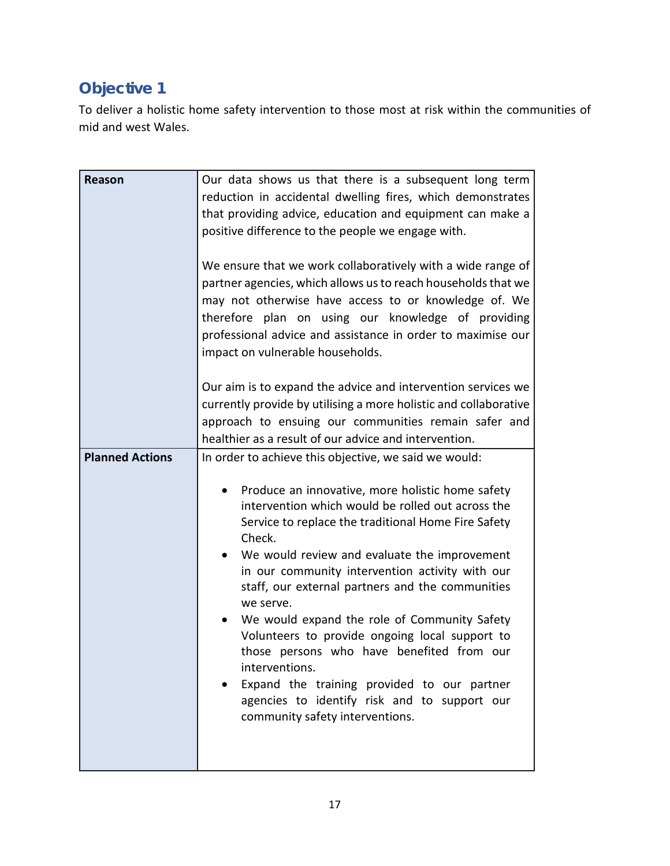# **Objective 1**

To deliver a holistic home safety intervention to those most at risk within the communities of mid and west Wales.

| Reason                 | Our data shows us that there is a subsequent long term<br>reduction in accidental dwelling fires, which demonstrates<br>that providing advice, education and equipment can make a<br>positive difference to the people we engage with.<br>We ensure that we work collaboratively with a wide range of<br>partner agencies, which allows us to reach households that we<br>may not otherwise have access to or knowledge of. We<br>therefore plan on using our knowledge of providing<br>professional advice and assistance in order to maximise our<br>impact on vulnerable households.                                                       |
|------------------------|-----------------------------------------------------------------------------------------------------------------------------------------------------------------------------------------------------------------------------------------------------------------------------------------------------------------------------------------------------------------------------------------------------------------------------------------------------------------------------------------------------------------------------------------------------------------------------------------------------------------------------------------------|
| <b>Planned Actions</b> | Our aim is to expand the advice and intervention services we<br>currently provide by utilising a more holistic and collaborative<br>approach to ensuing our communities remain safer and<br>healthier as a result of our advice and intervention.<br>In order to achieve this objective, we said we would:                                                                                                                                                                                                                                                                                                                                    |
|                        | Produce an innovative, more holistic home safety<br>intervention which would be rolled out across the<br>Service to replace the traditional Home Fire Safety<br>Check.<br>We would review and evaluate the improvement<br>in our community intervention activity with our<br>staff, our external partners and the communities<br>we serve.<br>We would expand the role of Community Safety<br>Volunteers to provide ongoing local support to<br>those persons who have benefited from our<br>interventions.<br>Expand the training provided to our partner<br>agencies to identify risk and to support our<br>community safety interventions. |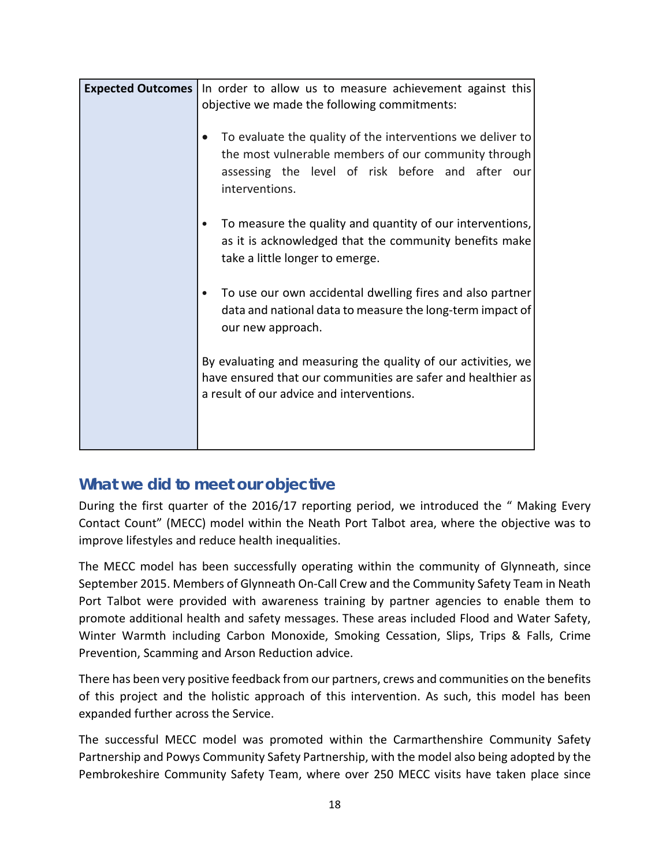| <b>Expected Outcomes</b> | In order to allow us to measure achievement against this<br>objective we made the following commitments:                                                                                 |
|--------------------------|------------------------------------------------------------------------------------------------------------------------------------------------------------------------------------------|
|                          | To evaluate the quality of the interventions we deliver to<br>the most vulnerable members of our community through<br>assessing the level of risk before and after our<br>interventions. |
|                          | To measure the quality and quantity of our interventions,<br>as it is acknowledged that the community benefits make<br>take a little longer to emerge.                                   |
|                          | To use our own accidental dwelling fires and also partner<br>data and national data to measure the long-term impact of<br>our new approach.                                              |
|                          | By evaluating and measuring the quality of our activities, we<br>have ensured that our communities are safer and healthier as<br>a result of our advice and interventions.               |
|                          |                                                                                                                                                                                          |

During the first quarter of the 2016/17 reporting period, we introduced the " Making Every Contact Count" (MECC) model within the Neath Port Talbot area, where the objective was to improve lifestyles and reduce health inequalities.

The MECC model has been successfully operating within the community of Glynneath, since September 2015. Members of Glynneath On-Call Crew and the Community Safety Team in Neath Port Talbot were provided with awareness training by partner agencies to enable them to promote additional health and safety messages. These areas included Flood and Water Safety, Winter Warmth including Carbon Monoxide, Smoking Cessation, Slips, Trips & Falls, Crime Prevention, Scamming and Arson Reduction advice.

There has been very positive feedback from our partners, crews and communities on the benefits of this project and the holistic approach of this intervention. As such, this model has been expanded further across the Service.

The successful MECC model was promoted within the Carmarthenshire Community Safety Partnership and Powys Community Safety Partnership, with the model also being adopted by the Pembrokeshire Community Safety Team, where over 250 MECC visits have taken place since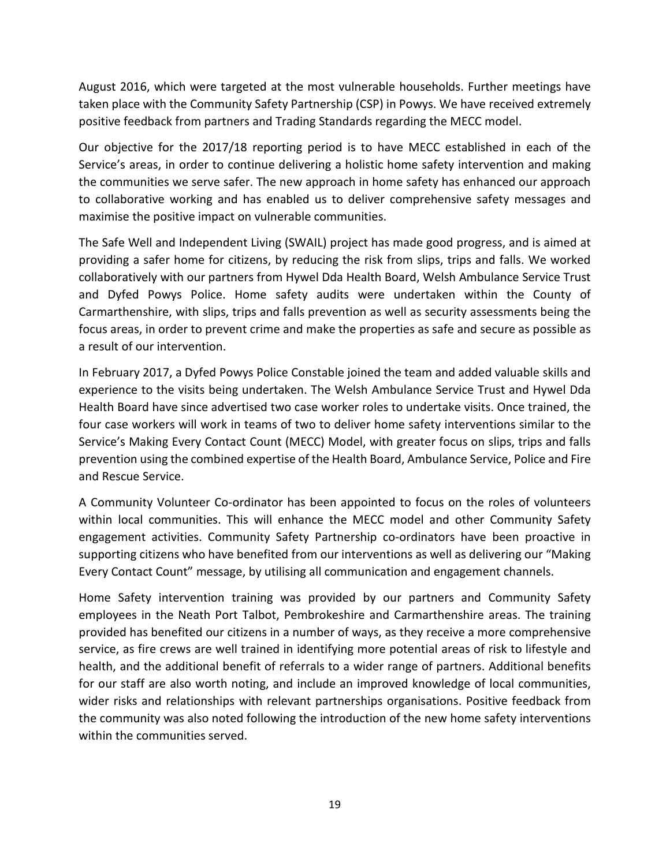August 2016, which were targeted at the most vulnerable households. Further meetings have taken place with the Community Safety Partnership (CSP) in Powys. We have received extremely positive feedback from partners and Trading Standards regarding the MECC model.

Our objective for the 2017/18 reporting period is to have MECC established in each of the Service's areas, in order to continue delivering a holistic home safety intervention and making the communities we serve safer. The new approach in home safety has enhanced our approach to collaborative working and has enabled us to deliver comprehensive safety messages and maximise the positive impact on vulnerable communities.

The Safe Well and Independent Living (SWAIL) project has made good progress, and is aimed at providing a safer home for citizens, by reducing the risk from slips, trips and falls. We worked collaboratively with our partners from Hywel Dda Health Board, Welsh Ambulance Service Trust and Dyfed Powys Police. Home safety audits were undertaken within the County of Carmarthenshire, with slips, trips and falls prevention as well as security assessments being the focus areas, in order to prevent crime and make the properties as safe and secure as possible as a result of our intervention.

In February 2017, a Dyfed Powys Police Constable joined the team and added valuable skills and experience to the visits being undertaken. The Welsh Ambulance Service Trust and Hywel Dda Health Board have since advertised two case worker roles to undertake visits. Once trained, the four case workers will work in teams of two to deliver home safety interventions similar to the Service's Making Every Contact Count (MECC) Model, with greater focus on slips, trips and falls prevention using the combined expertise of the Health Board, Ambulance Service, Police and Fire and Rescue Service.

A Community Volunteer Co-ordinator has been appointed to focus on the roles of volunteers within local communities. This will enhance the MECC model and other Community Safety engagement activities. Community Safety Partnership co-ordinators have been proactive in supporting citizens who have benefited from our interventions as well as delivering our "Making Every Contact Count" message, by utilising all communication and engagement channels.

Home Safety intervention training was provided by our partners and Community Safety employees in the Neath Port Talbot, Pembrokeshire and Carmarthenshire areas. The training provided has benefited our citizens in a number of ways, as they receive a more comprehensive service, as fire crews are well trained in identifying more potential areas of risk to lifestyle and health, and the additional benefit of referrals to a wider range of partners. Additional benefits for our staff are also worth noting, and include an improved knowledge of local communities, wider risks and relationships with relevant partnerships organisations. Positive feedback from the community was also noted following the introduction of the new home safety interventions within the communities served.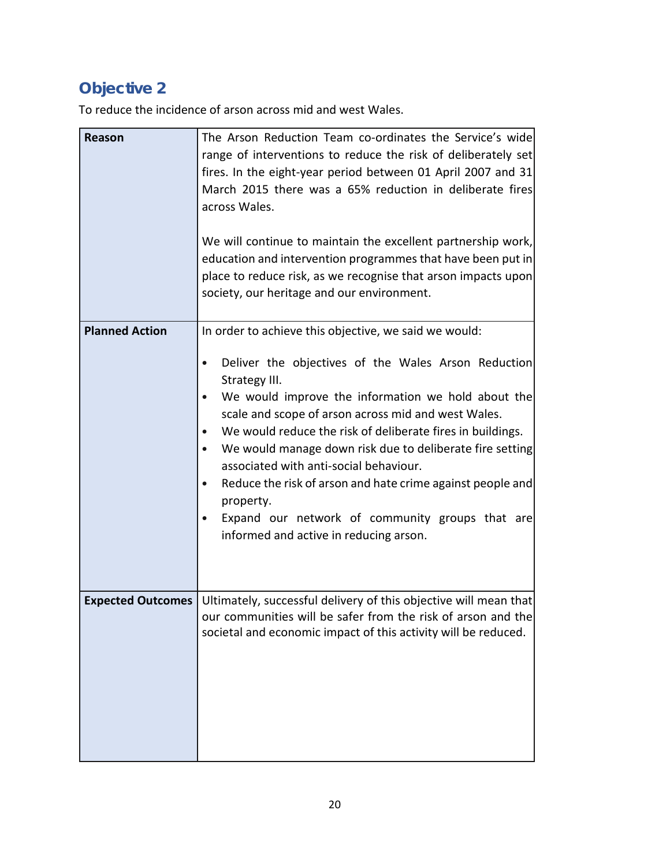# **Objective 2**

To reduce the incidence of arson across mid and west Wales.

| <b>Reason</b>         | The Arson Reduction Team co-ordinates the Service's wide<br>range of interventions to reduce the risk of deliberately set<br>fires. In the eight-year period between 01 April 2007 and 31<br>March 2015 there was a 65% reduction in deliberate fires<br>across Wales.<br>We will continue to maintain the excellent partnership work,<br>education and intervention programmes that have been put in<br>place to reduce risk, as we recognise that arson impacts upon<br>society, our heritage and our environment.                                                              |
|-----------------------|-----------------------------------------------------------------------------------------------------------------------------------------------------------------------------------------------------------------------------------------------------------------------------------------------------------------------------------------------------------------------------------------------------------------------------------------------------------------------------------------------------------------------------------------------------------------------------------|
| <b>Planned Action</b> | In order to achieve this objective, we said we would:                                                                                                                                                                                                                                                                                                                                                                                                                                                                                                                             |
|                       | Deliver the objectives of the Wales Arson Reduction<br>Strategy III.<br>We would improve the information we hold about the<br>$\bullet$<br>scale and scope of arson across mid and west Wales.<br>We would reduce the risk of deliberate fires in buildings.<br>$\bullet$<br>We would manage down risk due to deliberate fire setting<br>$\bullet$<br>associated with anti-social behaviour.<br>Reduce the risk of arson and hate crime against people and<br>$\bullet$<br>property.<br>Expand our network of community groups that are<br>informed and active in reducing arson. |
|                       | <b>Expected Outcomes</b> Ultimately, successful delivery of this objective will mean that<br>our communities will be safer from the risk of arson and the<br>societal and economic impact of this activity will be reduced.                                                                                                                                                                                                                                                                                                                                                       |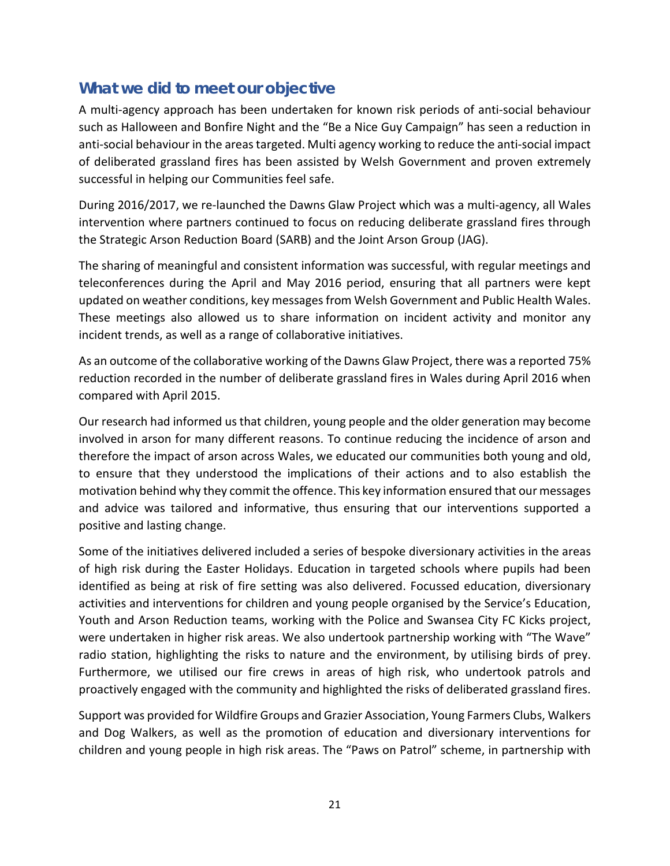A multi-agency approach has been undertaken for known risk periods of anti-social behaviour such as Halloween and Bonfire Night and the "Be a Nice Guy Campaign" has seen a reduction in anti-social behaviour in the areas targeted. Multi agency working to reduce the anti-social impact of deliberated grassland fires has been assisted by Welsh Government and proven extremely successful in helping our Communities feel safe.

During 2016/2017, we re-launched the Dawns Glaw Project which was a multi-agency, all Wales intervention where partners continued to focus on reducing deliberate grassland fires through the Strategic Arson Reduction Board (SARB) and the Joint Arson Group (JAG).

The sharing of meaningful and consistent information was successful, with regular meetings and teleconferences during the April and May 2016 period, ensuring that all partners were kept updated on weather conditions, key messages from Welsh Government and Public Health Wales. These meetings also allowed us to share information on incident activity and monitor any incident trends, as well as a range of collaborative initiatives.

As an outcome of the collaborative working of the Dawns Glaw Project, there was a reported 75% reduction recorded in the number of deliberate grassland fires in Wales during April 2016 when compared with April 2015.

Our research had informed us that children, young people and the older generation may become involved in arson for many different reasons. To continue reducing the incidence of arson and therefore the impact of arson across Wales, we educated our communities both young and old, to ensure that they understood the implications of their actions and to also establish the motivation behind why they commit the offence. This key information ensured that our messages and advice was tailored and informative, thus ensuring that our interventions supported a positive and lasting change.

Some of the initiatives delivered included a series of bespoke diversionary activities in the areas of high risk during the Easter Holidays. Education in targeted schools where pupils had been identified as being at risk of fire setting was also delivered. Focussed education, diversionary activities and interventions for children and young people organised by the Service's Education, Youth and Arson Reduction teams, working with the Police and Swansea City FC Kicks project, were undertaken in higher risk areas. We also undertook partnership working with "The Wave" radio station, highlighting the risks to nature and the environment, by utilising birds of prey. Furthermore, we utilised our fire crews in areas of high risk, who undertook patrols and proactively engaged with the community and highlighted the risks of deliberated grassland fires.

Support was provided for Wildfire Groups and Grazier Association, Young Farmers Clubs, Walkers and Dog Walkers, as well as the promotion of education and diversionary interventions for children and young people in high risk areas. The "Paws on Patrol" scheme, in partnership with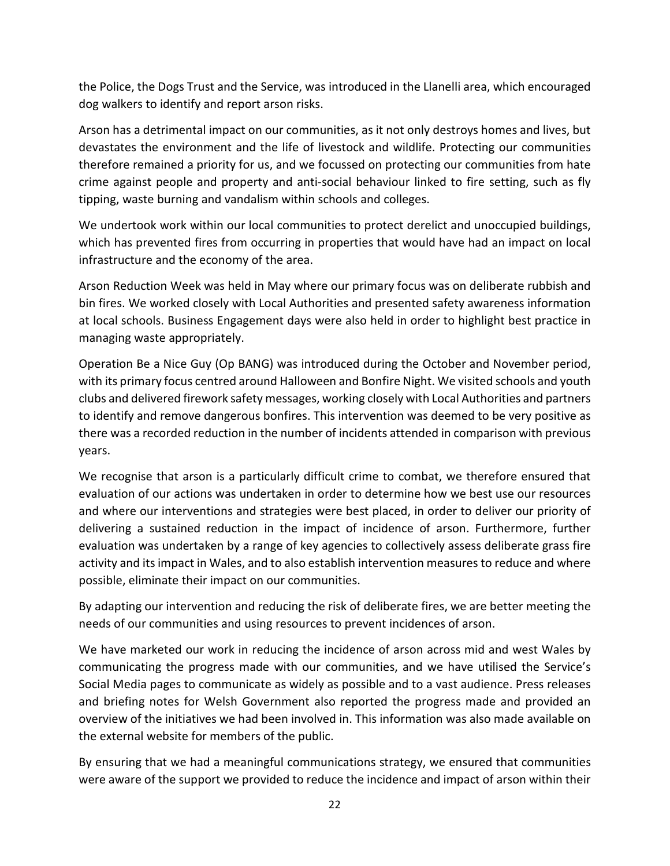the Police, the Dogs Trust and the Service, was introduced in the Llanelli area, which encouraged dog walkers to identify and report arson risks.

Arson has a detrimental impact on our communities, as it not only destroys homes and lives, but devastates the environment and the life of livestock and wildlife. Protecting our communities therefore remained a priority for us, and we focussed on protecting our communities from hate crime against people and property and anti-social behaviour linked to fire setting, such as fly tipping, waste burning and vandalism within schools and colleges.

We undertook work within our local communities to protect derelict and unoccupied buildings, which has prevented fires from occurring in properties that would have had an impact on local infrastructure and the economy of the area.

Arson Reduction Week was held in May where our primary focus was on deliberate rubbish and bin fires. We worked closely with Local Authorities and presented safety awareness information at local schools. Business Engagement days were also held in order to highlight best practice in managing waste appropriately.

Operation Be a Nice Guy (Op BANG) was introduced during the October and November period, with its primary focus centred around Halloween and Bonfire Night. We visited schools and youth clubs and delivered firework safety messages, working closely with Local Authorities and partners to identify and remove dangerous bonfires. This intervention was deemed to be very positive as there was a recorded reduction in the number of incidents attended in comparison with previous years.

We recognise that arson is a particularly difficult crime to combat, we therefore ensured that evaluation of our actions was undertaken in order to determine how we best use our resources and where our interventions and strategies were best placed, in order to deliver our priority of delivering a sustained reduction in the impact of incidence of arson. Furthermore, further evaluation was undertaken by a range of key agencies to collectively assess deliberate grass fire activity and its impact in Wales, and to also establish intervention measures to reduce and where possible, eliminate their impact on our communities.

By adapting our intervention and reducing the risk of deliberate fires, we are better meeting the needs of our communities and using resources to prevent incidences of arson.

We have marketed our work in reducing the incidence of arson across mid and west Wales by communicating the progress made with our communities, and we have utilised the Service's Social Media pages to communicate as widely as possible and to a vast audience. Press releases and briefing notes for Welsh Government also reported the progress made and provided an overview of the initiatives we had been involved in. This information was also made available on the external website for members of the public.

By ensuring that we had a meaningful communications strategy, we ensured that communities were aware of the support we provided to reduce the incidence and impact of arson within their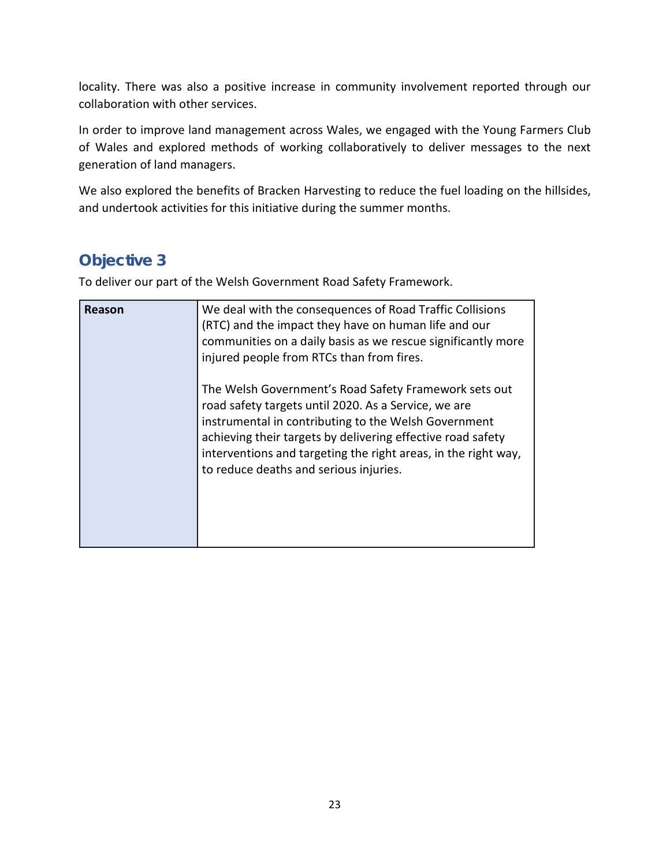locality. There was also a positive increase in community involvement reported through our collaboration with other services.

In order to improve land management across Wales, we engaged with the Young Farmers Club of Wales and explored methods of working collaboratively to deliver messages to the next generation of land managers.

We also explored the benefits of Bracken Harvesting to reduce the fuel loading on the hillsides, and undertook activities for this initiative during the summer months.

## **Objective 3**

To deliver our part of the Welsh Government Road Safety Framework.

| Reason | We deal with the consequences of Road Traffic Collisions<br>(RTC) and the impact they have on human life and our<br>communities on a daily basis as we rescue significantly more<br>injured people from RTCs than from fires.                                                                                                                    |
|--------|--------------------------------------------------------------------------------------------------------------------------------------------------------------------------------------------------------------------------------------------------------------------------------------------------------------------------------------------------|
|        | The Welsh Government's Road Safety Framework sets out<br>road safety targets until 2020. As a Service, we are<br>instrumental in contributing to the Welsh Government<br>achieving their targets by delivering effective road safety<br>interventions and targeting the right areas, in the right way,<br>to reduce deaths and serious injuries. |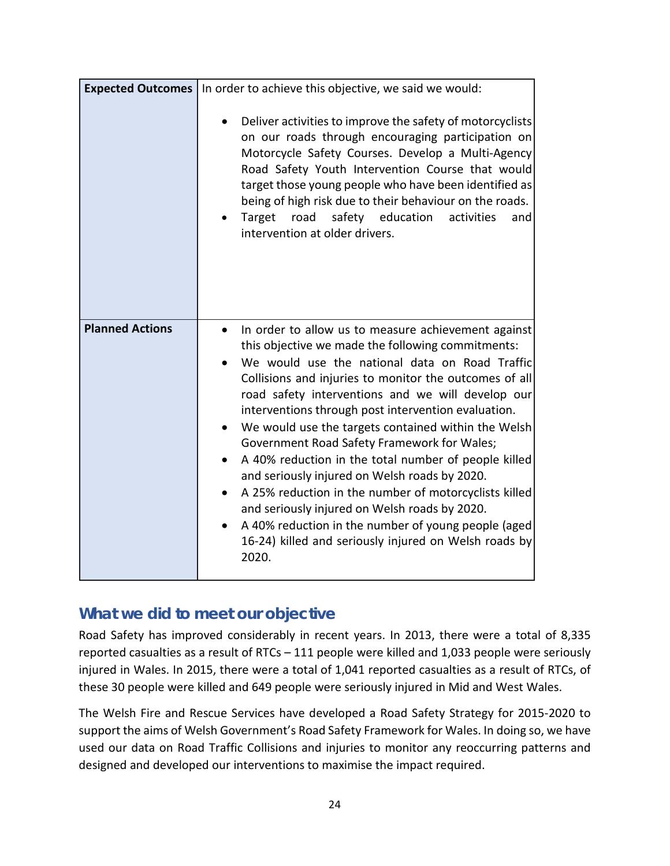|                        | Expected Outcomes   In order to achieve this objective, we said we would:                                                                                                                                                                                                                                                                                                                                                                                                                                                                                                                                                                                                                                                                                                                       |
|------------------------|-------------------------------------------------------------------------------------------------------------------------------------------------------------------------------------------------------------------------------------------------------------------------------------------------------------------------------------------------------------------------------------------------------------------------------------------------------------------------------------------------------------------------------------------------------------------------------------------------------------------------------------------------------------------------------------------------------------------------------------------------------------------------------------------------|
|                        | Deliver activities to improve the safety of motorcyclists<br>on our roads through encouraging participation on<br>Motorcycle Safety Courses. Develop a Multi-Agency<br>Road Safety Youth Intervention Course that would<br>target those young people who have been identified as<br>being of high risk due to their behaviour on the roads.<br>safety education<br>Target road<br>activities<br>and<br>intervention at older drivers.                                                                                                                                                                                                                                                                                                                                                           |
| <b>Planned Actions</b> | In order to allow us to measure achievement against<br>$\bullet$<br>this objective we made the following commitments:<br>We would use the national data on Road Traffic<br>Collisions and injuries to monitor the outcomes of all<br>road safety interventions and we will develop our<br>interventions through post intervention evaluation.<br>We would use the targets contained within the Welsh<br>Government Road Safety Framework for Wales;<br>A 40% reduction in the total number of people killed<br>and seriously injured on Welsh roads by 2020.<br>A 25% reduction in the number of motorcyclists killed<br>and seriously injured on Welsh roads by 2020.<br>A 40% reduction in the number of young people (aged<br>16-24) killed and seriously injured on Welsh roads by<br>2020. |

Road Safety has improved considerably in recent years. In 2013, there were a total of 8,335 reported casualties as a result of RTCs – 111 people were killed and 1,033 people were seriously injured in Wales. In 2015, there were a total of 1,041 reported casualties as a result of RTCs, of these 30 people were killed and 649 people were seriously injured in Mid and West Wales.

The Welsh Fire and Rescue Services have developed a Road Safety Strategy for 2015-2020 to support the aims of Welsh Government's Road Safety Framework for Wales. In doing so, we have used our data on Road Traffic Collisions and injuries to monitor any reoccurring patterns and designed and developed our interventions to maximise the impact required.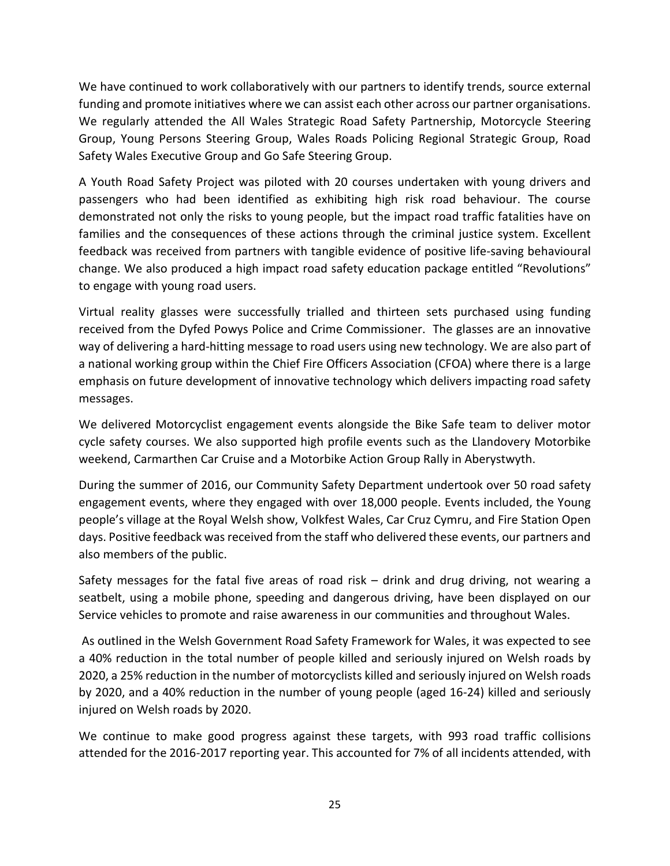We have continued to work collaboratively with our partners to identify trends, source external funding and promote initiatives where we can assist each other across our partner organisations. We regularly attended the All Wales Strategic Road Safety Partnership, Motorcycle Steering Group, Young Persons Steering Group, Wales Roads Policing Regional Strategic Group, Road Safety Wales Executive Group and Go Safe Steering Group.

A Youth Road Safety Project was piloted with 20 courses undertaken with young drivers and passengers who had been identified as exhibiting high risk road behaviour. The course demonstrated not only the risks to young people, but the impact road traffic fatalities have on families and the consequences of these actions through the criminal justice system. Excellent feedback was received from partners with tangible evidence of positive life-saving behavioural change. We also produced a high impact road safety education package entitled "Revolutions" to engage with young road users.

Virtual reality glasses were successfully trialled and thirteen sets purchased using funding received from the Dyfed Powys Police and Crime Commissioner. The glasses are an innovative way of delivering a hard-hitting message to road users using new technology. We are also part of a national working group within the Chief Fire Officers Association (CFOA) where there is a large emphasis on future development of innovative technology which delivers impacting road safety messages.

We delivered Motorcyclist engagement events alongside the Bike Safe team to deliver motor cycle safety courses. We also supported high profile events such as the Llandovery Motorbike weekend, Carmarthen Car Cruise and a Motorbike Action Group Rally in Aberystwyth.

During the summer of 2016, our Community Safety Department undertook over 50 road safety engagement events, where they engaged with over 18,000 people. Events included, the Young people's village at the Royal Welsh show, Volkfest Wales, Car Cruz Cymru, and Fire Station Open days. Positive feedback was received from the staff who delivered these events, our partners and also members of the public.

Safety messages for the fatal five areas of road risk  $-$  drink and drug driving, not wearing a seatbelt, using a mobile phone, speeding and dangerous driving, have been displayed on our Service vehicles to promote and raise awareness in our communities and throughout Wales.

As outlined in the Welsh Government Road Safety Framework for Wales, it was expected to see a 40% reduction in the total number of people killed and seriously injured on Welsh roads by 2020, a 25% reduction in the number of motorcyclists killed and seriously injured on Welsh roads by 2020, and a 40% reduction in the number of young people (aged 16-24) killed and seriously injured on Welsh roads by 2020.

We continue to make good progress against these targets, with 993 road traffic collisions attended for the 2016-2017 reporting year. This accounted for 7% of all incidents attended, with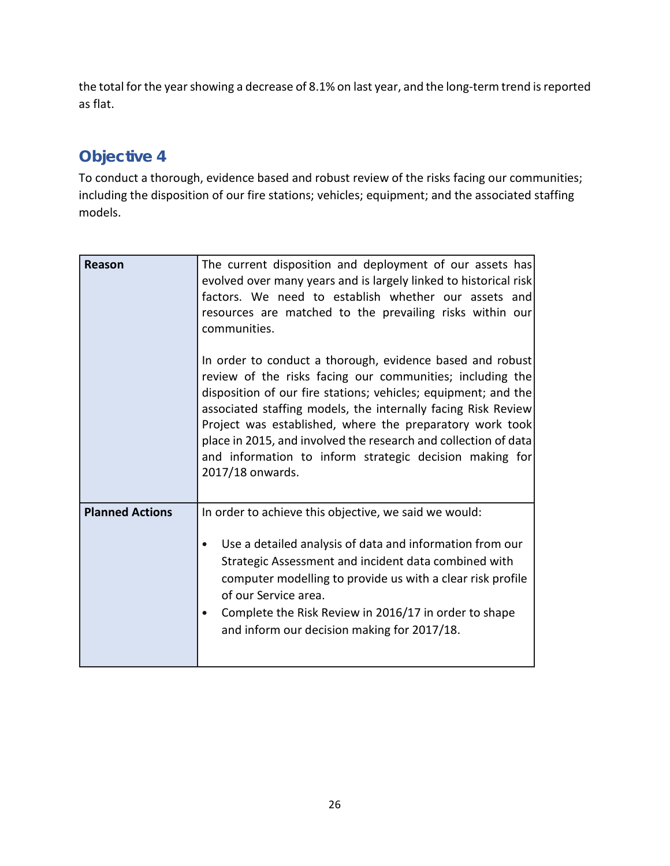the total for the year showing a decrease of 8.1% on last year, and the long-term trend is reported as flat.

## **Objective 4**

To conduct a thorough, evidence based and robust review of the risks facing our communities; including the disposition of our fire stations; vehicles; equipment; and the associated staffing models.

| Reason                 | The current disposition and deployment of our assets has<br>evolved over many years and is largely linked to historical risk<br>factors. We need to establish whether our assets and<br>resources are matched to the prevailing risks within our<br>communities.<br>In order to conduct a thorough, evidence based and robust                                                                              |
|------------------------|------------------------------------------------------------------------------------------------------------------------------------------------------------------------------------------------------------------------------------------------------------------------------------------------------------------------------------------------------------------------------------------------------------|
|                        | review of the risks facing our communities; including the<br>disposition of our fire stations; vehicles; equipment; and the<br>associated staffing models, the internally facing Risk Review<br>Project was established, where the preparatory work took<br>place in 2015, and involved the research and collection of data<br>and information to inform strategic decision making for<br>2017/18 onwards. |
| <b>Planned Actions</b> | In order to achieve this objective, we said we would:<br>Use a detailed analysis of data and information from our<br>$\bullet$<br>Strategic Assessment and incident data combined with<br>computer modelling to provide us with a clear risk profile<br>of our Service area.<br>Complete the Risk Review in 2016/17 in order to shape<br>$\bullet$<br>and inform our decision making for 2017/18.          |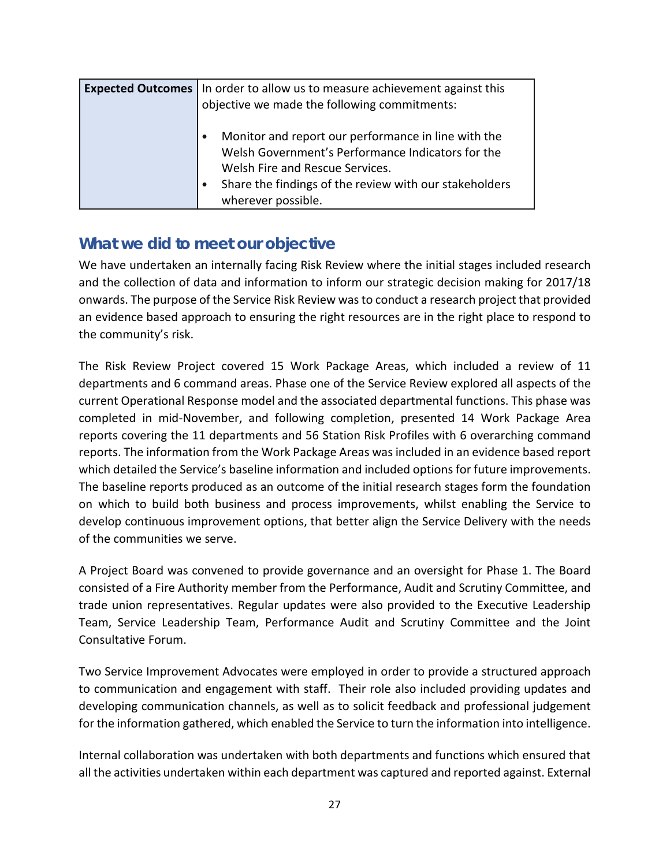| <b>Expected Outcomes</b> In order to allow us to measure achievement against this<br>objective we made the following commitments:           |
|---------------------------------------------------------------------------------------------------------------------------------------------|
| Monitor and report our performance in line with the<br>Welsh Government's Performance Indicators for the<br>Welsh Fire and Rescue Services. |
| Share the findings of the review with our stakeholders<br>wherever possible.                                                                |

We have undertaken an internally facing Risk Review where the initial stages included research and the collection of data and information to inform our strategic decision making for 2017/18 onwards. The purpose of the Service Risk Review was to conduct a research project that provided an evidence based approach to ensuring the right resources are in the right place to respond to the community's risk.

The Risk Review Project covered 15 Work Package Areas, which included a review of 11 departments and 6 command areas. Phase one of the Service Review explored all aspects of the current Operational Response model and the associated departmental functions. This phase was completed in mid-November, and following completion, presented 14 Work Package Area reports covering the 11 departments and 56 Station Risk Profiles with 6 overarching command reports. The information from the Work Package Areas was included in an evidence based report which detailed the Service's baseline information and included options for future improvements. The baseline reports produced as an outcome of the initial research stages form the foundation on which to build both business and process improvements, whilst enabling the Service to develop continuous improvement options, that better align the Service Delivery with the needs of the communities we serve.

A Project Board was convened to provide governance and an oversight for Phase 1. The Board consisted of a Fire Authority member from the Performance, Audit and Scrutiny Committee, and trade union representatives. Regular updates were also provided to the Executive Leadership Team, Service Leadership Team, Performance Audit and Scrutiny Committee and the Joint Consultative Forum.

Two Service Improvement Advocates were employed in order to provide a structured approach to communication and engagement with staff. Their role also included providing updates and developing communication channels, as well as to solicit feedback and professional judgement for the information gathered, which enabled the Service to turn the information into intelligence.

Internal collaboration was undertaken with both departments and functions which ensured that all the activities undertaken within each department was captured and reported against. External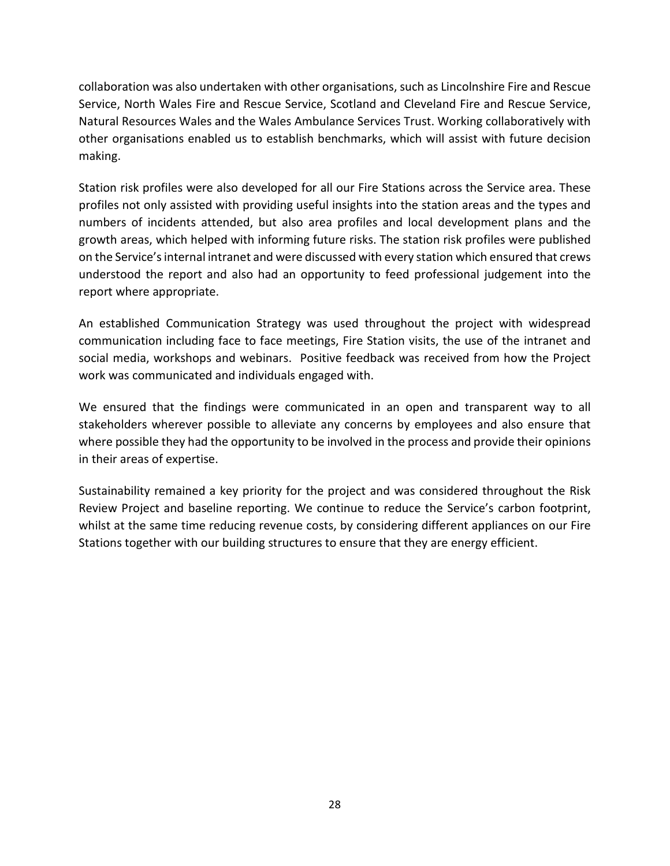collaboration was also undertaken with other organisations, such as Lincolnshire Fire and Rescue Service, North Wales Fire and Rescue Service, Scotland and Cleveland Fire and Rescue Service, Natural Resources Wales and the Wales Ambulance Services Trust. Working collaboratively with other organisations enabled us to establish benchmarks, which will assist with future decision making.

Station risk profiles were also developed for all our Fire Stations across the Service area. These profiles not only assisted with providing useful insights into the station areas and the types and numbers of incidents attended, but also area profiles and local development plans and the growth areas, which helped with informing future risks. The station risk profiles were published on the Service's internal intranet and were discussed with every station which ensured that crews understood the report and also had an opportunity to feed professional judgement into the report where appropriate.

An established Communication Strategy was used throughout the project with widespread communication including face to face meetings, Fire Station visits, the use of the intranet and social media, workshops and webinars. Positive feedback was received from how the Project work was communicated and individuals engaged with.

We ensured that the findings were communicated in an open and transparent way to all stakeholders wherever possible to alleviate any concerns by employees and also ensure that where possible they had the opportunity to be involved in the process and provide their opinions in their areas of expertise.

Sustainability remained a key priority for the project and was considered throughout the Risk Review Project and baseline reporting. We continue to reduce the Service's carbon footprint, whilst at the same time reducing revenue costs, by considering different appliances on our Fire Stations together with our building structures to ensure that they are energy efficient.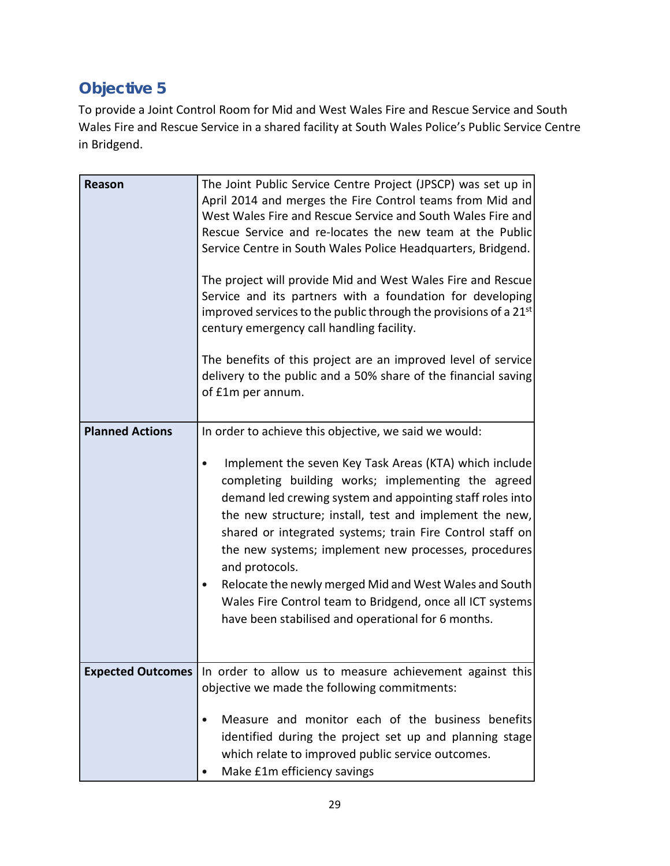# **Objective 5**

To provide a Joint Control Room for Mid and West Wales Fire and Rescue Service and South Wales Fire and Rescue Service in a shared facility at South Wales Police's Public Service Centre in Bridgend.

| <b>Reason</b>            | The Joint Public Service Centre Project (JPSCP) was set up in<br>April 2014 and merges the Fire Control teams from Mid and<br>West Wales Fire and Rescue Service and South Wales Fire and<br>Rescue Service and re-locates the new team at the Public<br>Service Centre in South Wales Police Headquarters, Bridgend.<br>The project will provide Mid and West Wales Fire and Rescue<br>Service and its partners with a foundation for developing<br>improved services to the public through the provisions of a 21 <sup>st</sup><br>century emergency call handling facility.<br>The benefits of this project are an improved level of service<br>delivery to the public and a 50% share of the financial saving<br>of £1m per annum. |
|--------------------------|----------------------------------------------------------------------------------------------------------------------------------------------------------------------------------------------------------------------------------------------------------------------------------------------------------------------------------------------------------------------------------------------------------------------------------------------------------------------------------------------------------------------------------------------------------------------------------------------------------------------------------------------------------------------------------------------------------------------------------------|
| <b>Planned Actions</b>   | In order to achieve this objective, we said we would:<br>Implement the seven Key Task Areas (KTA) which include<br>completing building works; implementing the agreed<br>demand led crewing system and appointing staff roles into<br>the new structure; install, test and implement the new,<br>shared or integrated systems; train Fire Control staff on<br>the new systems; implement new processes, procedures<br>and protocols.<br>Relocate the newly merged Mid and West Wales and South<br>Wales Fire Control team to Bridgend, once all ICT systems<br>have been stabilised and operational for 6 months.                                                                                                                      |
| <b>Expected Outcomes</b> | In order to allow us to measure achievement against this<br>objective we made the following commitments:<br>Measure and monitor each of the business benefits<br>identified during the project set up and planning stage<br>which relate to improved public service outcomes.<br>Make £1m efficiency savings                                                                                                                                                                                                                                                                                                                                                                                                                           |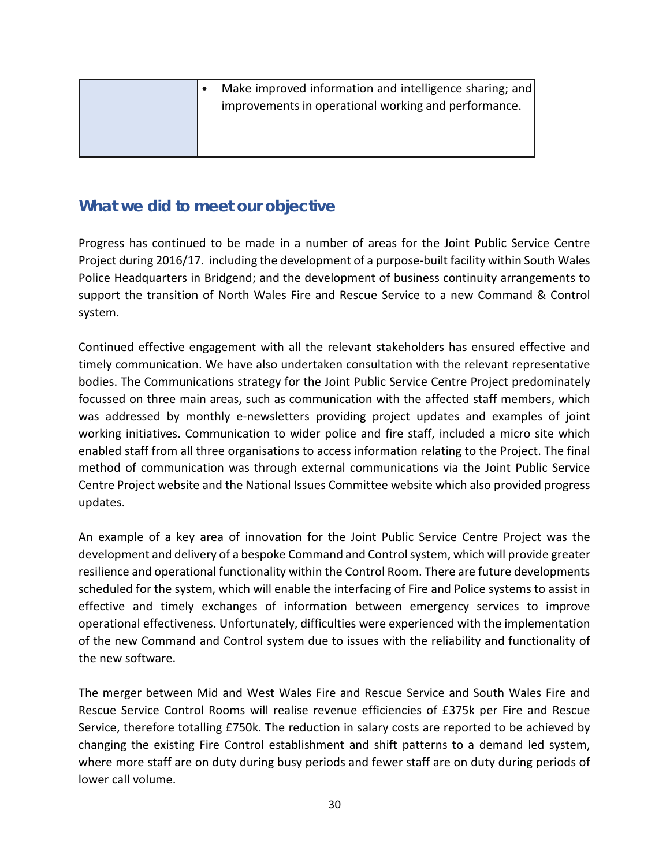|  | Make improved information and intelligence sharing; and<br>improvements in operational working and performance. |
|--|-----------------------------------------------------------------------------------------------------------------|
|  |                                                                                                                 |

Progress has continued to be made in a number of areas for the Joint Public Service Centre Project during 2016/17. including the development of a purpose-built facility within South Wales Police Headquarters in Bridgend; and the development of business continuity arrangements to support the transition of North Wales Fire and Rescue Service to a new Command & Control system.

Continued effective engagement with all the relevant stakeholders has ensured effective and timely communication. We have also undertaken consultation with the relevant representative bodies. The Communications strategy for the Joint Public Service Centre Project predominately focussed on three main areas, such as communication with the affected staff members, which was addressed by monthly e-newsletters providing project updates and examples of joint working initiatives. Communication to wider police and fire staff, included a micro site which enabled staff from all three organisations to access information relating to the Project. The final method of communication was through external communications via the Joint Public Service Centre Project website and the National Issues Committee website which also provided progress updates.

An example of a key area of innovation for the Joint Public Service Centre Project was the development and delivery of a bespoke Command and Control system, which will provide greater resilience and operational functionality within the Control Room. There are future developments scheduled for the system, which will enable the interfacing of Fire and Police systems to assist in effective and timely exchanges of information between emergency services to improve operational effectiveness. Unfortunately, difficulties were experienced with the implementation of the new Command and Control system due to issues with the reliability and functionality of the new software.

The merger between Mid and West Wales Fire and Rescue Service and South Wales Fire and Rescue Service Control Rooms will realise revenue efficiencies of £375k per Fire and Rescue Service, therefore totalling £750k. The reduction in salary costs are reported to be achieved by changing the existing Fire Control establishment and shift patterns to a demand led system, where more staff are on duty during busy periods and fewer staff are on duty during periods of lower call volume.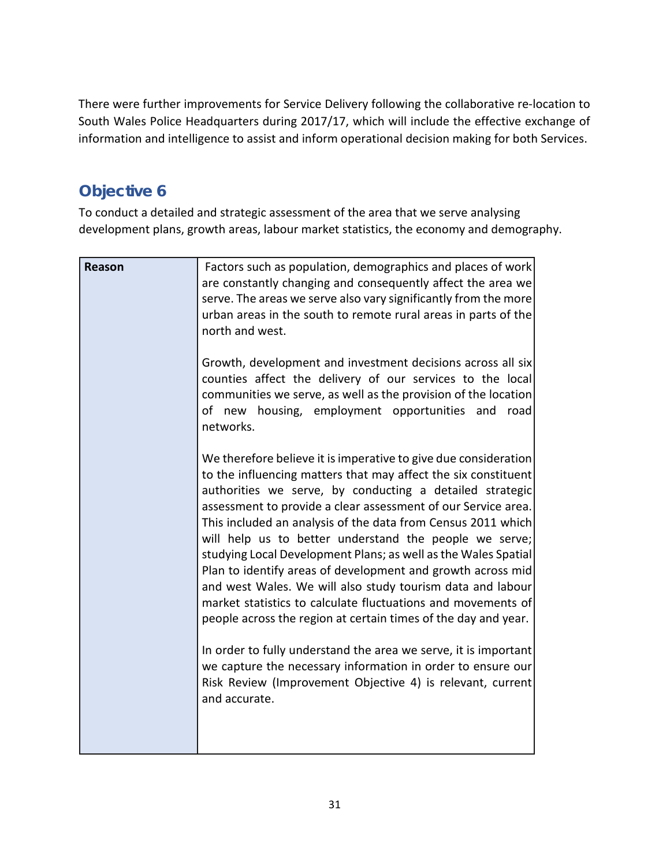There were further improvements for Service Delivery following the collaborative re-location to South Wales Police Headquarters during 2017/17, which will include the effective exchange of information and intelligence to assist and inform operational decision making for both Services.

## **Objective 6**

To conduct a detailed and strategic assessment of the area that we serve analysing development plans, growth areas, labour market statistics, the economy and demography.

| <b>Reason</b> | Factors such as population, demographics and places of work<br>are constantly changing and consequently affect the area we<br>serve. The areas we serve also vary significantly from the more<br>urban areas in the south to remote rural areas in parts of the<br>north and west.                                                                                                                                                                                                                                                                                                                                                                                                                                        |
|---------------|---------------------------------------------------------------------------------------------------------------------------------------------------------------------------------------------------------------------------------------------------------------------------------------------------------------------------------------------------------------------------------------------------------------------------------------------------------------------------------------------------------------------------------------------------------------------------------------------------------------------------------------------------------------------------------------------------------------------------|
|               | Growth, development and investment decisions across all six<br>counties affect the delivery of our services to the local<br>communities we serve, as well as the provision of the location<br>of new housing, employment opportunities and<br>road<br>networks.                                                                                                                                                                                                                                                                                                                                                                                                                                                           |
|               | We therefore believe it is imperative to give due consideration<br>to the influencing matters that may affect the six constituent<br>authorities we serve, by conducting a detailed strategic<br>assessment to provide a clear assessment of our Service area.<br>This included an analysis of the data from Census 2011 which<br>will help us to better understand the people we serve;<br>studying Local Development Plans; as well as the Wales Spatial<br>Plan to identify areas of development and growth across mid<br>and west Wales. We will also study tourism data and labour<br>market statistics to calculate fluctuations and movements of<br>people across the region at certain times of the day and year. |
|               | In order to fully understand the area we serve, it is important<br>we capture the necessary information in order to ensure our<br>Risk Review (Improvement Objective 4) is relevant, current<br>and accurate.                                                                                                                                                                                                                                                                                                                                                                                                                                                                                                             |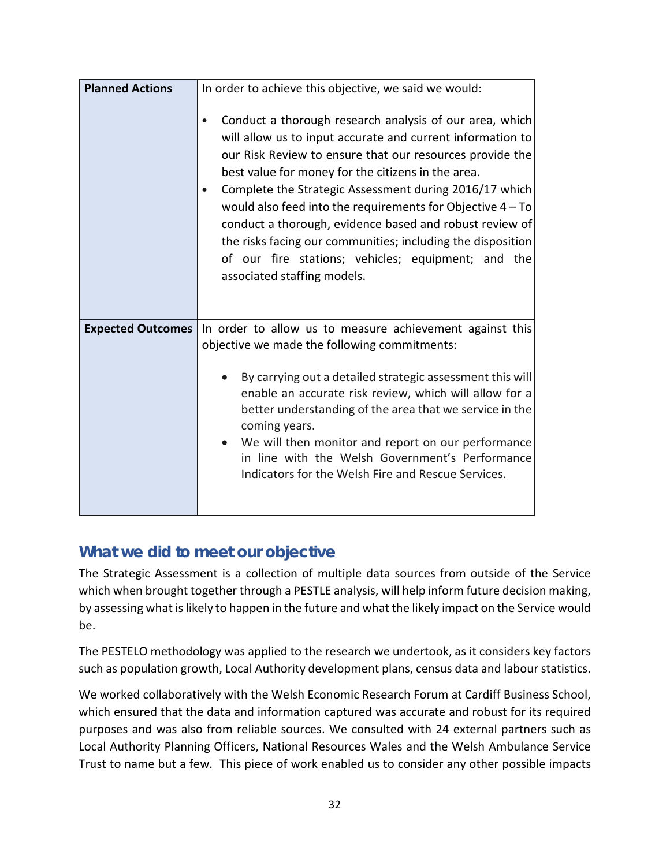| <b>Planned Actions</b>   | In order to achieve this objective, we said we would:                                                                                                                                                                                                                                                                                                                                                                                                                                                                                                                            |
|--------------------------|----------------------------------------------------------------------------------------------------------------------------------------------------------------------------------------------------------------------------------------------------------------------------------------------------------------------------------------------------------------------------------------------------------------------------------------------------------------------------------------------------------------------------------------------------------------------------------|
|                          | Conduct a thorough research analysis of our area, which<br>will allow us to input accurate and current information to<br>our Risk Review to ensure that our resources provide the<br>best value for money for the citizens in the area.<br>Complete the Strategic Assessment during 2016/17 which<br>would also feed into the requirements for Objective $4 - To$<br>conduct a thorough, evidence based and robust review of<br>the risks facing our communities; including the disposition<br>of our fire stations; vehicles; equipment; and the<br>associated staffing models. |
| <b>Expected Outcomes</b> | In order to allow us to measure achievement against this                                                                                                                                                                                                                                                                                                                                                                                                                                                                                                                         |
|                          | objective we made the following commitments:                                                                                                                                                                                                                                                                                                                                                                                                                                                                                                                                     |
|                          | By carrying out a detailed strategic assessment this will<br>enable an accurate risk review, which will allow for a                                                                                                                                                                                                                                                                                                                                                                                                                                                              |
|                          | better understanding of the area that we service in the<br>coming years.                                                                                                                                                                                                                                                                                                                                                                                                                                                                                                         |
|                          | We will then monitor and report on our performance<br>in line with the Welsh Government's Performance                                                                                                                                                                                                                                                                                                                                                                                                                                                                            |
|                          | Indicators for the Welsh Fire and Rescue Services.                                                                                                                                                                                                                                                                                                                                                                                                                                                                                                                               |
|                          |                                                                                                                                                                                                                                                                                                                                                                                                                                                                                                                                                                                  |

The Strategic Assessment is a collection of multiple data sources from outside of the Service which when brought together through a PESTLE analysis, will help inform future decision making, by assessing what is likely to happen in the future and what the likely impact on the Service would be.

The PESTELO methodology was applied to the research we undertook, as it considers key factors such as population growth, Local Authority development plans, census data and labour statistics.

We worked collaboratively with the Welsh Economic Research Forum at Cardiff Business School, which ensured that the data and information captured was accurate and robust for its required purposes and was also from reliable sources. We consulted with 24 external partners such as Local Authority Planning Officers, National Resources Wales and the Welsh Ambulance Service Trust to name but a few. This piece of work enabled us to consider any other possible impacts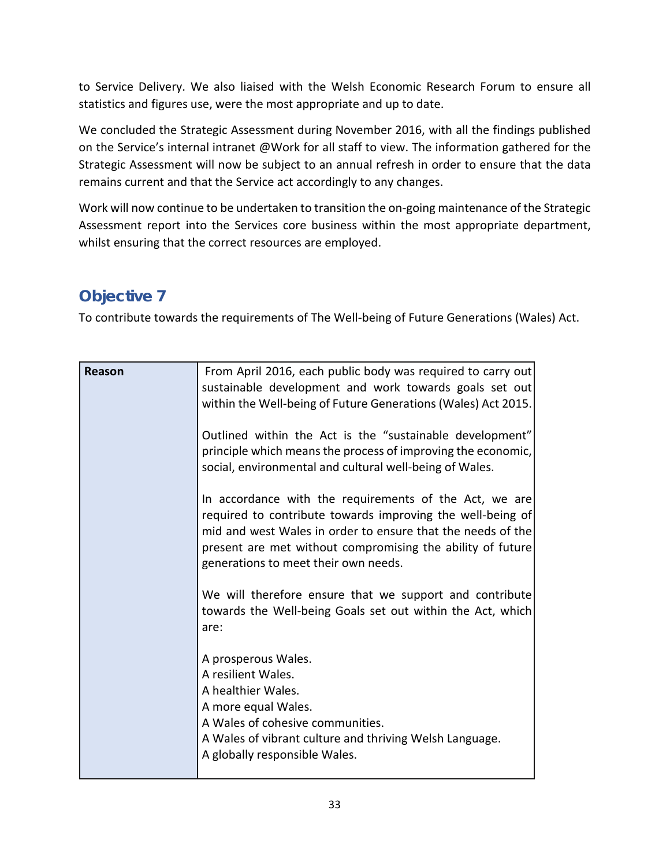to Service Delivery. We also liaised with the Welsh Economic Research Forum to ensure all statistics and figures use, were the most appropriate and up to date.

We concluded the Strategic Assessment during November 2016, with all the findings published on the Service's internal intranet @Work for all staff to view. The information gathered for the Strategic Assessment will now be subject to an annual refresh in order to ensure that the data remains current and that the Service act accordingly to any changes.

Work will now continue to be undertaken to transition the on-going maintenance of the Strategic Assessment report into the Services core business within the most appropriate department, whilst ensuring that the correct resources are employed.

## **Objective 7**

To contribute towards the requirements of The Well-being of Future Generations (Wales) Act.

| Reason | From April 2016, each public body was required to carry out<br>sustainable development and work towards goals set out<br>within the Well-being of Future Generations (Wales) Act 2015.                                                                                                    |
|--------|-------------------------------------------------------------------------------------------------------------------------------------------------------------------------------------------------------------------------------------------------------------------------------------------|
|        | Outlined within the Act is the "sustainable development"<br>principle which means the process of improving the economic,<br>social, environmental and cultural well-being of Wales.                                                                                                       |
|        | In accordance with the requirements of the Act, we are<br>required to contribute towards improving the well-being of<br>mid and west Wales in order to ensure that the needs of the<br>present are met without compromising the ability of future<br>generations to meet their own needs. |
|        | We will therefore ensure that we support and contribute<br>towards the Well-being Goals set out within the Act, which<br>are:                                                                                                                                                             |
|        | A prosperous Wales.<br>A resilient Wales.<br>A healthier Wales.<br>A more equal Wales.<br>A Wales of cohesive communities.<br>A Wales of vibrant culture and thriving Welsh Language.<br>A globally responsible Wales.                                                                    |
|        |                                                                                                                                                                                                                                                                                           |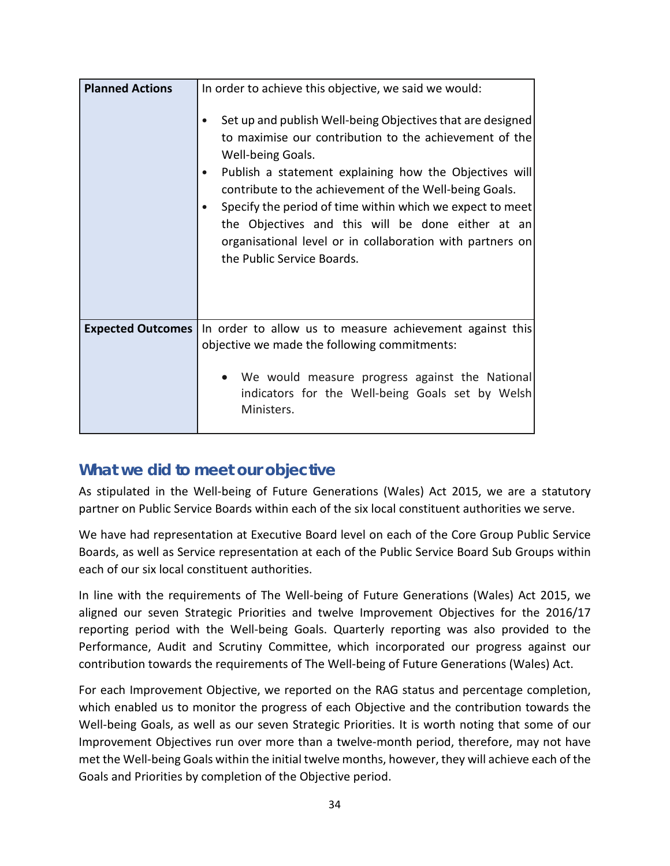| <b>Planned Actions</b>   | In order to achieve this objective, we said we would:<br>Set up and publish Well-being Objectives that are designed<br>to maximise our contribution to the achievement of the<br>Well-being Goals.<br>Publish a statement explaining how the Objectives will<br>contribute to the achievement of the Well-being Goals.<br>Specify the period of time within which we expect to meet<br>the Objectives and this will be done either at an<br>organisational level or in collaboration with partners on<br>the Public Service Boards. |
|--------------------------|-------------------------------------------------------------------------------------------------------------------------------------------------------------------------------------------------------------------------------------------------------------------------------------------------------------------------------------------------------------------------------------------------------------------------------------------------------------------------------------------------------------------------------------|
| <b>Expected Outcomes</b> | In order to allow us to measure achievement against this<br>objective we made the following commitments:<br>We would measure progress against the National<br>indicators for the Well-being Goals set by Welsh<br>Ministers.                                                                                                                                                                                                                                                                                                        |

As stipulated in the Well-being of Future Generations (Wales) Act 2015, we are a statutory partner on Public Service Boards within each of the six local constituent authorities we serve.

We have had representation at Executive Board level on each of the Core Group Public Service Boards, as well as Service representation at each of the Public Service Board Sub Groups within each of our six local constituent authorities.

In line with the requirements of The Well-being of Future Generations (Wales) Act 2015, we aligned our seven Strategic Priorities and twelve Improvement Objectives for the 2016/17 reporting period with the Well-being Goals. Quarterly reporting was also provided to the Performance, Audit and Scrutiny Committee, which incorporated our progress against our contribution towards the requirements of The Well-being of Future Generations (Wales) Act.

For each Improvement Objective, we reported on the RAG status and percentage completion, which enabled us to monitor the progress of each Objective and the contribution towards the Well-being Goals, as well as our seven Strategic Priorities. It is worth noting that some of our Improvement Objectives run over more than a twelve-month period, therefore, may not have met the Well-being Goals within the initial twelve months, however, they will achieve each of the Goals and Priorities by completion of the Objective period.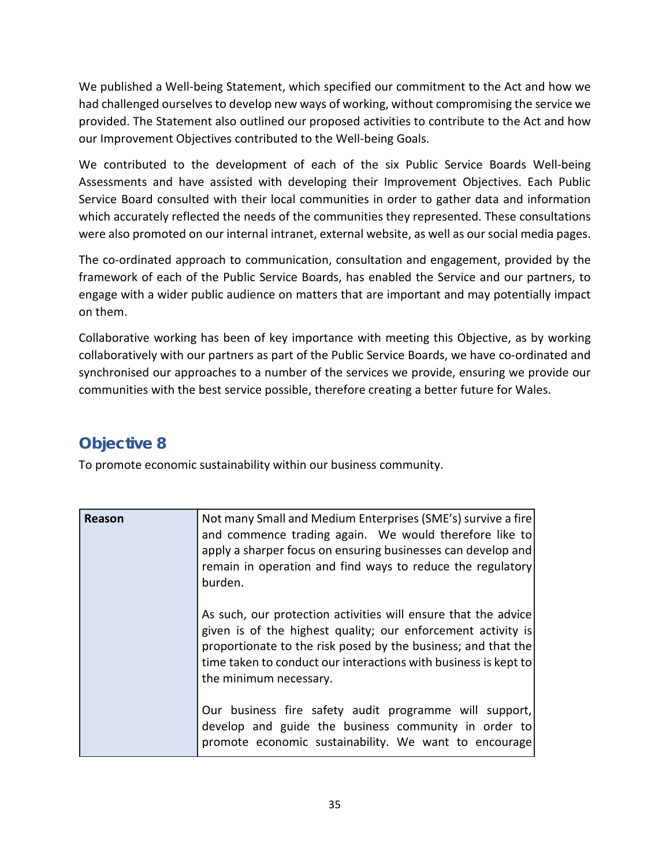We published a Well-being Statement, which specified our commitment to the Act and how we had challenged ourselves to develop new ways of working, without compromising the service we provided. The Statement also outlined our proposed activities to contribute to the Act and how our Improvement Objectives contributed to the Well-being Goals.

We contributed to the development of each of the six Public Service Boards Well-being Assessments and have assisted with developing their Improvement Objectives. Each Public Service Board consulted with their local communities in order to gather data and information which accurately reflected the needs of the communities they represented. These consultations were also promoted on our internal intranet, external website, as well as our social media pages.

The co-ordinated approach to communication, consultation and engagement, provided by the framework of each of the Public Service Boards, has enabled the Service and our partners, to engage with a wider public audience on matters that are important and may potentially impact on them.

Collaborative working has been of key importance with meeting this Objective, as by working collaboratively with our partners as part of the Public Service Boards, we have co-ordinated and synchronised our approaches to a number of the services we provide, ensuring we provide our communities with the best service possible, therefore creating a better future for Wales.

## **Objective 8**

To promote economic sustainability within our business community.

| Reason | Not many Small and Medium Enterprises (SME's) survive a fire<br>and commence trading again. We would therefore like to<br>apply a sharper focus on ensuring businesses can develop and<br>remain in operation and find ways to reduce the regulatory<br>burden.                              |
|--------|----------------------------------------------------------------------------------------------------------------------------------------------------------------------------------------------------------------------------------------------------------------------------------------------|
|        | As such, our protection activities will ensure that the advice<br>given is of the highest quality; our enforcement activity is<br>proportionate to the risk posed by the business; and that the<br>time taken to conduct our interactions with business is kept to<br>the minimum necessary. |
|        | Our business fire safety audit programme will support,<br>develop and guide the business community in order to<br>promote economic sustainability. We want to encourage                                                                                                                      |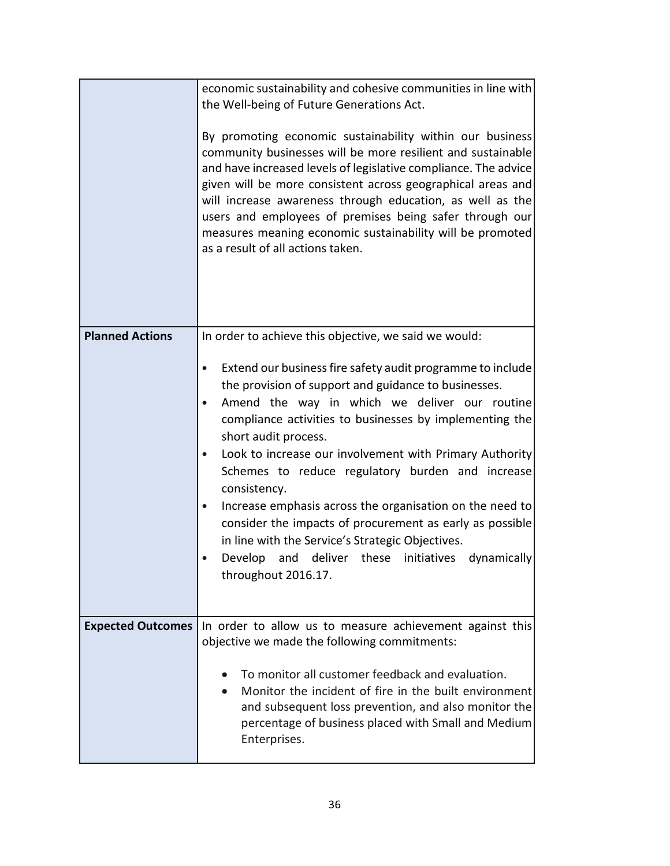|                          | economic sustainability and cohesive communities in line with<br>the Well-being of Future Generations Act.<br>By promoting economic sustainability within our business<br>community businesses will be more resilient and sustainable<br>and have increased levels of legislative compliance. The advice<br>given will be more consistent across geographical areas and<br>will increase awareness through education, as well as the<br>users and employees of premises being safer through our<br>measures meaning economic sustainability will be promoted<br>as a result of all actions taken.                                                                                                                            |
|--------------------------|------------------------------------------------------------------------------------------------------------------------------------------------------------------------------------------------------------------------------------------------------------------------------------------------------------------------------------------------------------------------------------------------------------------------------------------------------------------------------------------------------------------------------------------------------------------------------------------------------------------------------------------------------------------------------------------------------------------------------|
| <b>Planned Actions</b>   | In order to achieve this objective, we said we would:<br>Extend our business fire safety audit programme to include<br>the provision of support and guidance to businesses.<br>Amend the way in which we deliver our routine<br>$\bullet$<br>compliance activities to businesses by implementing the<br>short audit process.<br>Look to increase our involvement with Primary Authority<br>Schemes to reduce regulatory burden and increase<br>consistency.<br>Increase emphasis across the organisation on the need to<br>consider the impacts of procurement as early as possible<br>in line with the Service's Strategic Objectives.<br>and deliver these<br>Develop<br>initiatives<br>dynamically<br>throughout 2016.17. |
| <b>Expected Outcomes</b> | In order to allow us to measure achievement against this<br>objective we made the following commitments:<br>To monitor all customer feedback and evaluation.<br>Monitor the incident of fire in the built environment<br>and subsequent loss prevention, and also monitor the<br>percentage of business placed with Small and Medium<br>Enterprises.                                                                                                                                                                                                                                                                                                                                                                         |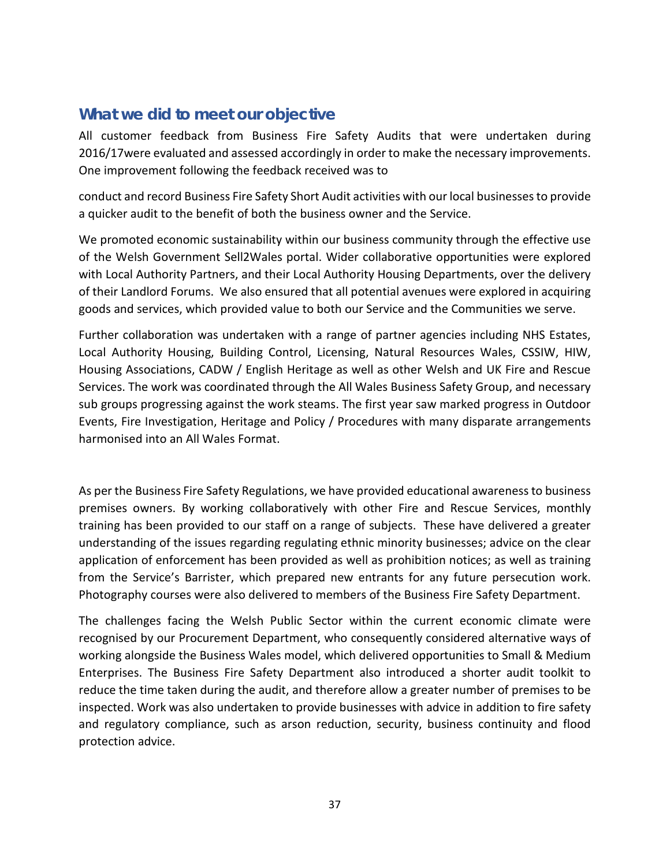All customer feedback from Business Fire Safety Audits that were undertaken during 2016/17were evaluated and assessed accordingly in order to make the necessary improvements. One improvement following the feedback received was to

conduct and record Business Fire Safety Short Audit activities with our local businesses to provide a quicker audit to the benefit of both the business owner and the Service.

We promoted economic sustainability within our business community through the effective use of the Welsh Government Sell2Wales portal. Wider collaborative opportunities were explored with Local Authority Partners, and their Local Authority Housing Departments, over the delivery of their Landlord Forums. We also ensured that all potential avenues were explored in acquiring goods and services, which provided value to both our Service and the Communities we serve.

Further collaboration was undertaken with a range of partner agencies including NHS Estates, Local Authority Housing, Building Control, Licensing, Natural Resources Wales, CSSIW, HIW, Housing Associations, CADW / English Heritage as well as other Welsh and UK Fire and Rescue Services. The work was coordinated through the All Wales Business Safety Group, and necessary sub groups progressing against the work steams. The first year saw marked progress in Outdoor Events, Fire Investigation, Heritage and Policy / Procedures with many disparate arrangements harmonised into an All Wales Format.

As per the Business Fire Safety Regulations, we have provided educational awareness to business premises owners. By working collaboratively with other Fire and Rescue Services, monthly training has been provided to our staff on a range of subjects. These have delivered a greater understanding of the issues regarding regulating ethnic minority businesses; advice on the clear application of enforcement has been provided as well as prohibition notices; as well as training from the Service's Barrister, which prepared new entrants for any future persecution work. Photography courses were also delivered to members of the Business Fire Safety Department.

The challenges facing the Welsh Public Sector within the current economic climate were recognised by our Procurement Department, who consequently considered alternative ways of working alongside the Business Wales model, which delivered opportunities to Small & Medium Enterprises. The Business Fire Safety Department also introduced a shorter audit toolkit to reduce the time taken during the audit, and therefore allow a greater number of premises to be inspected. Work was also undertaken to provide businesses with advice in addition to fire safety and regulatory compliance, such as arson reduction, security, business continuity and flood protection advice.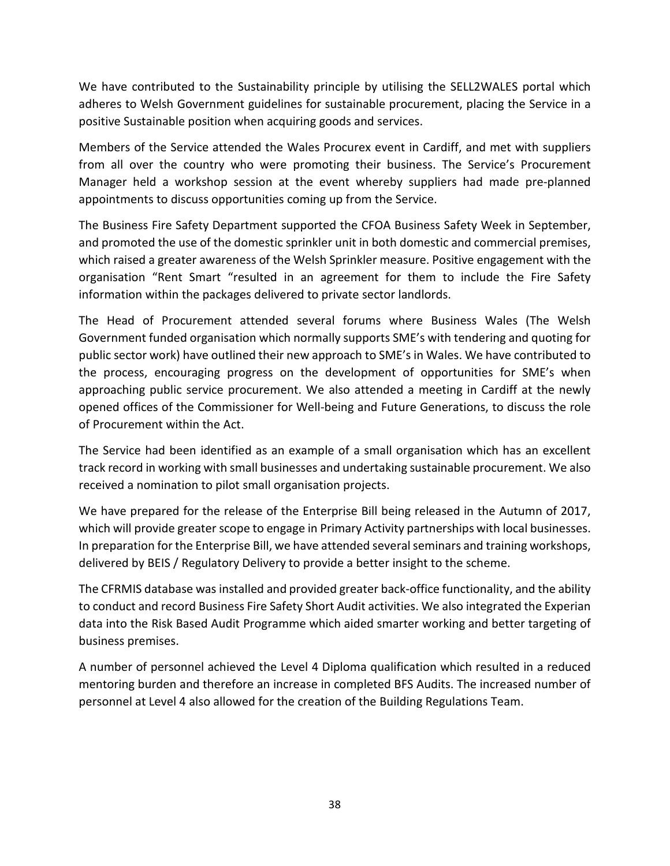We have contributed to the Sustainability principle by utilising the SELL2WALES portal which adheres to Welsh Government guidelines for sustainable procurement, placing the Service in a positive Sustainable position when acquiring goods and services.

Members of the Service attended the Wales Procurex event in Cardiff, and met with suppliers from all over the country who were promoting their business. The Service's Procurement Manager held a workshop session at the event whereby suppliers had made pre-planned appointments to discuss opportunities coming up from the Service.

The Business Fire Safety Department supported the CFOA Business Safety Week in September, and promoted the use of the domestic sprinkler unit in both domestic and commercial premises, which raised a greater awareness of the Welsh Sprinkler measure. Positive engagement with the organisation "Rent Smart "resulted in an agreement for them to include the Fire Safety information within the packages delivered to private sector landlords.

The Head of Procurement attended several forums where Business Wales (The Welsh Government funded organisation which normally supports SME's with tendering and quoting for public sector work) have outlined their new approach to SME's in Wales. We have contributed to the process, encouraging progress on the development of opportunities for SME's when approaching public service procurement. We also attended a meeting in Cardiff at the newly opened offices of the Commissioner for Well-being and Future Generations, to discuss the role of Procurement within the Act.

The Service had been identified as an example of a small organisation which has an excellent track record in working with small businesses and undertaking sustainable procurement. We also received a nomination to pilot small organisation projects.

We have prepared for the release of the Enterprise Bill being released in the Autumn of 2017, which will provide greater scope to engage in Primary Activity partnerships with local businesses. In preparation for the Enterprise Bill, we have attended several seminars and training workshops, delivered by BEIS / Regulatory Delivery to provide a better insight to the scheme.

The CFRMIS database was installed and provided greater back-office functionality, and the ability to conduct and record Business Fire Safety Short Audit activities. We also integrated the Experian data into the Risk Based Audit Programme which aided smarter working and better targeting of business premises.

A number of personnel achieved the Level 4 Diploma qualification which resulted in a reduced mentoring burden and therefore an increase in completed BFS Audits. The increased number of personnel at Level 4 also allowed for the creation of the Building Regulations Team.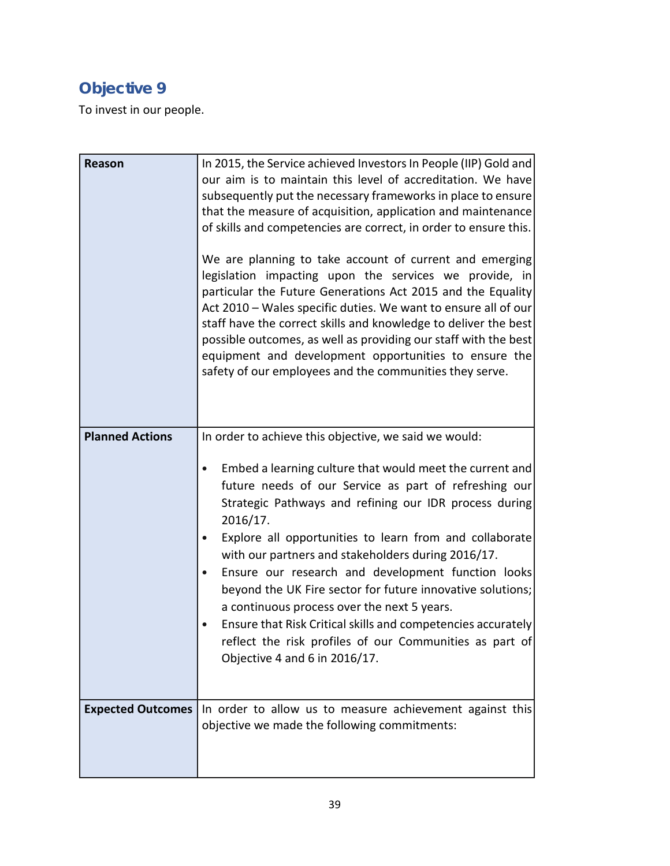# **Objective 9**

To invest in our people.

| <b>Reason</b>            | In 2015, the Service achieved Investors In People (IIP) Gold and<br>our aim is to maintain this level of accreditation. We have<br>subsequently put the necessary frameworks in place to ensure<br>that the measure of acquisition, application and maintenance<br>of skills and competencies are correct, in order to ensure this.<br>We are planning to take account of current and emerging<br>legislation impacting upon the services we provide, in<br>particular the Future Generations Act 2015 and the Equality<br>Act 2010 - Wales specific duties. We want to ensure all of our<br>staff have the correct skills and knowledge to deliver the best<br>possible outcomes, as well as providing our staff with the best<br>equipment and development opportunities to ensure the<br>safety of our employees and the communities they serve. |
|--------------------------|-----------------------------------------------------------------------------------------------------------------------------------------------------------------------------------------------------------------------------------------------------------------------------------------------------------------------------------------------------------------------------------------------------------------------------------------------------------------------------------------------------------------------------------------------------------------------------------------------------------------------------------------------------------------------------------------------------------------------------------------------------------------------------------------------------------------------------------------------------|
| <b>Planned Actions</b>   | In order to achieve this objective, we said we would:<br>Embed a learning culture that would meet the current and<br>future needs of our Service as part of refreshing our<br>Strategic Pathways and refining our IDR process during<br>2016/17.<br>Explore all opportunities to learn from and collaborate<br>$\bullet$<br>with our partners and stakeholders during 2016/17.<br>Ensure our research and development function looks<br>$\bullet$<br>beyond the UK Fire sector for future innovative solutions;<br>a continuous process over the next 5 years.<br>Ensure that Risk Critical skills and competencies accurately<br>reflect the risk profiles of our Communities as part of<br>Objective 4 and 6 in 2016/17.                                                                                                                          |
| <b>Expected Outcomes</b> | In order to allow us to measure achievement against this<br>objective we made the following commitments:                                                                                                                                                                                                                                                                                                                                                                                                                                                                                                                                                                                                                                                                                                                                            |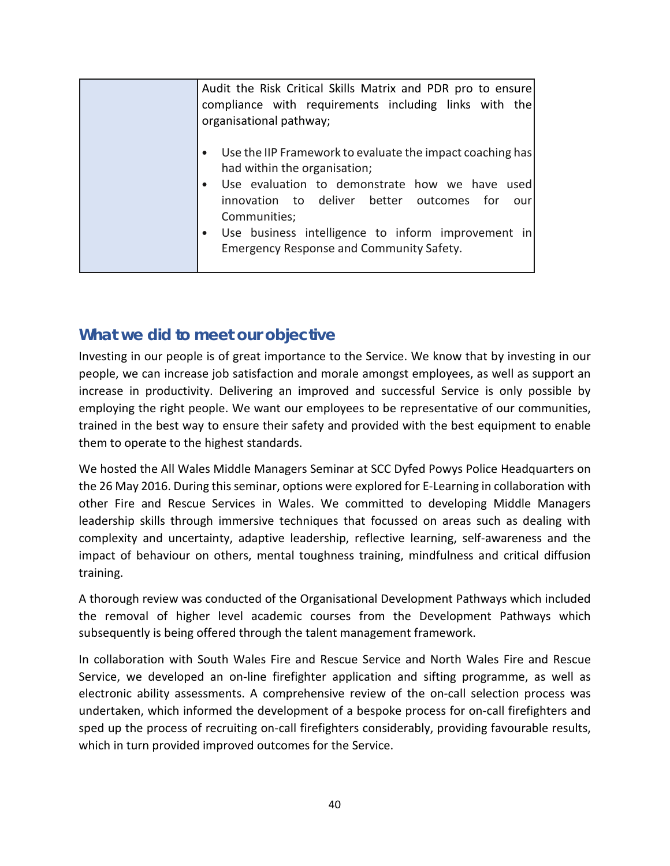| Audit the Risk Critical Skills Matrix and PDR pro to ensure<br>compliance with requirements including links with the<br>organisational pathway;                                                                                                                                                                                                          |
|----------------------------------------------------------------------------------------------------------------------------------------------------------------------------------------------------------------------------------------------------------------------------------------------------------------------------------------------------------|
| Use the IIP Framework to evaluate the impact coaching has<br>$\bullet$<br>had within the organisation;<br>Use evaluation to demonstrate how we have used<br>$\bullet$<br>innovation to deliver better outcomes for<br>our<br>Communities;<br>Use business intelligence to inform improvement in<br>$\bullet$<br>Emergency Response and Community Safety. |

Investing in our people is of great importance to the Service. We know that by investing in our people, we can increase job satisfaction and morale amongst employees, as well as support an increase in productivity. Delivering an improved and successful Service is only possible by employing the right people. We want our employees to be representative of our communities, trained in the best way to ensure their safety and provided with the best equipment to enable them to operate to the highest standards.

We hosted the All Wales Middle Managers Seminar at SCC Dyfed Powys Police Headquarters on the 26 May 2016. During this seminar, options were explored for E-Learning in collaboration with other Fire and Rescue Services in Wales. We committed to developing Middle Managers leadership skills through immersive techniques that focussed on areas such as dealing with complexity and uncertainty, adaptive leadership, reflective learning, self-awareness and the impact of behaviour on others, mental toughness training, mindfulness and critical diffusion training.

A thorough review was conducted of the Organisational Development Pathways which included the removal of higher level academic courses from the Development Pathways which subsequently is being offered through the talent management framework.

In collaboration with South Wales Fire and Rescue Service and North Wales Fire and Rescue Service, we developed an on-line firefighter application and sifting programme, as well as electronic ability assessments. A comprehensive review of the on-call selection process was undertaken, which informed the development of a bespoke process for on-call firefighters and sped up the process of recruiting on-call firefighters considerably, providing favourable results, which in turn provided improved outcomes for the Service.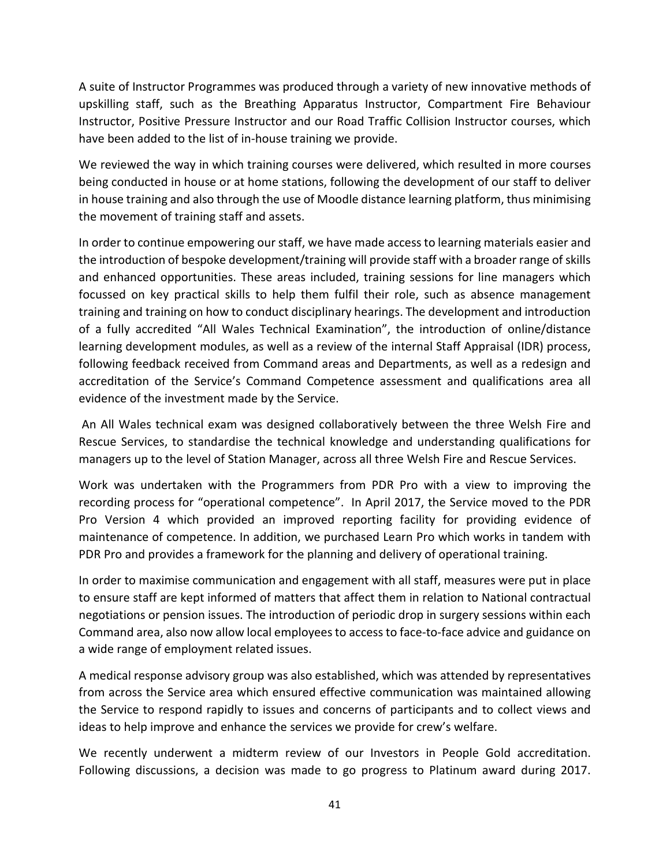A suite of Instructor Programmes was produced through a variety of new innovative methods of upskilling staff, such as the Breathing Apparatus Instructor, Compartment Fire Behaviour Instructor, Positive Pressure Instructor and our Road Traffic Collision Instructor courses, which have been added to the list of in-house training we provide.

We reviewed the way in which training courses were delivered, which resulted in more courses being conducted in house or at home stations, following the development of our staff to deliver in house training and also through the use of Moodle distance learning platform, thus minimising the movement of training staff and assets.

In order to continue empowering our staff, we have made access to learning materials easier and the introduction of bespoke development/training will provide staff with a broader range of skills and enhanced opportunities. These areas included, training sessions for line managers which focussed on key practical skills to help them fulfil their role, such as absence management training and training on how to conduct disciplinary hearings. The development and introduction of a fully accredited "All Wales Technical Examination", the introduction of online/distance learning development modules, as well as a review of the internal Staff Appraisal (IDR) process, following feedback received from Command areas and Departments, as well as a redesign and accreditation of the Service's Command Competence assessment and qualifications area all evidence of the investment made by the Service.

An All Wales technical exam was designed collaboratively between the three Welsh Fire and Rescue Services, to standardise the technical knowledge and understanding qualifications for managers up to the level of Station Manager, across all three Welsh Fire and Rescue Services.

Work was undertaken with the Programmers from PDR Pro with a view to improving the recording process for "operational competence". In April 2017, the Service moved to the PDR Pro Version 4 which provided an improved reporting facility for providing evidence of maintenance of competence. In addition, we purchased Learn Pro which works in tandem with PDR Pro and provides a framework for the planning and delivery of operational training.

In order to maximise communication and engagement with all staff, measures were put in place to ensure staff are kept informed of matters that affect them in relation to National contractual negotiations or pension issues. The introduction of periodic drop in surgery sessions within each Command area, also now allow local employees to access to face-to-face advice and guidance on a wide range of employment related issues.

A medical response advisory group was also established, which was attended by representatives from across the Service area which ensured effective communication was maintained allowing the Service to respond rapidly to issues and concerns of participants and to collect views and ideas to help improve and enhance the services we provide for crew's welfare.

We recently underwent a midterm review of our Investors in People Gold accreditation. Following discussions, a decision was made to go progress to Platinum award during 2017.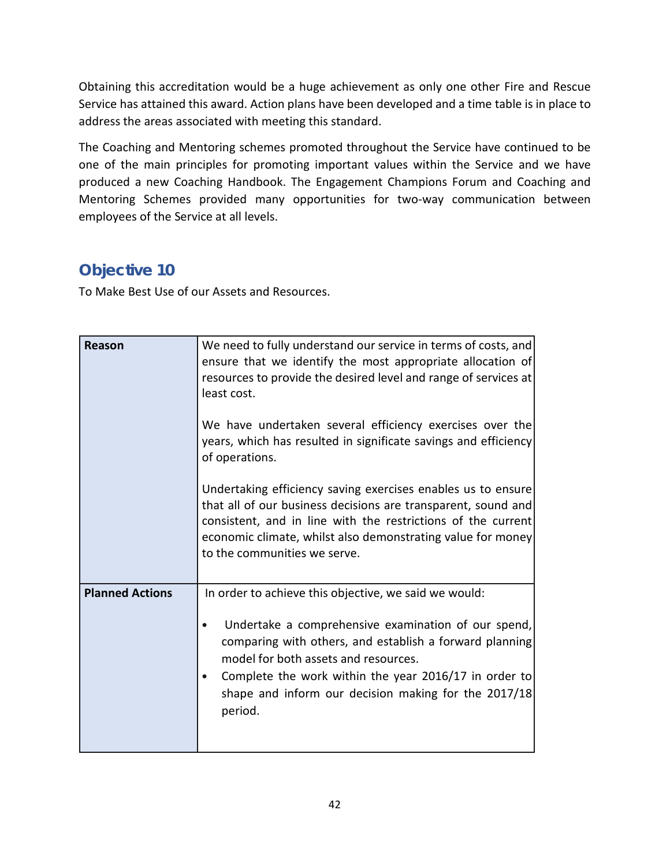Obtaining this accreditation would be a huge achievement as only one other Fire and Rescue Service has attained this award. Action plans have been developed and a time table is in place to address the areas associated with meeting this standard.

The Coaching and Mentoring schemes promoted throughout the Service have continued to be one of the main principles for promoting important values within the Service and we have produced a new Coaching Handbook. The Engagement Champions Forum and Coaching and Mentoring Schemes provided many opportunities for two-way communication between employees of the Service at all levels.

## **Objective 10**

To Make Best Use of our Assets and Resources.

| Reason                 | We need to fully understand our service in terms of costs, and<br>ensure that we identify the most appropriate allocation of<br>resources to provide the desired level and range of services at<br>least cost.<br>We have undertaken several efficiency exercises over the<br>years, which has resulted in significate savings and efficiency<br>of operations. |
|------------------------|-----------------------------------------------------------------------------------------------------------------------------------------------------------------------------------------------------------------------------------------------------------------------------------------------------------------------------------------------------------------|
|                        | Undertaking efficiency saving exercises enables us to ensure<br>that all of our business decisions are transparent, sound and<br>consistent, and in line with the restrictions of the current<br>economic climate, whilst also demonstrating value for money<br>to the communities we serve.                                                                    |
| <b>Planned Actions</b> | In order to achieve this objective, we said we would:<br>Undertake a comprehensive examination of our spend,<br>comparing with others, and establish a forward planning<br>model for both assets and resources.<br>Complete the work within the year 2016/17 in order to<br>$\bullet$<br>shape and inform our decision making for the 2017/18<br>period.        |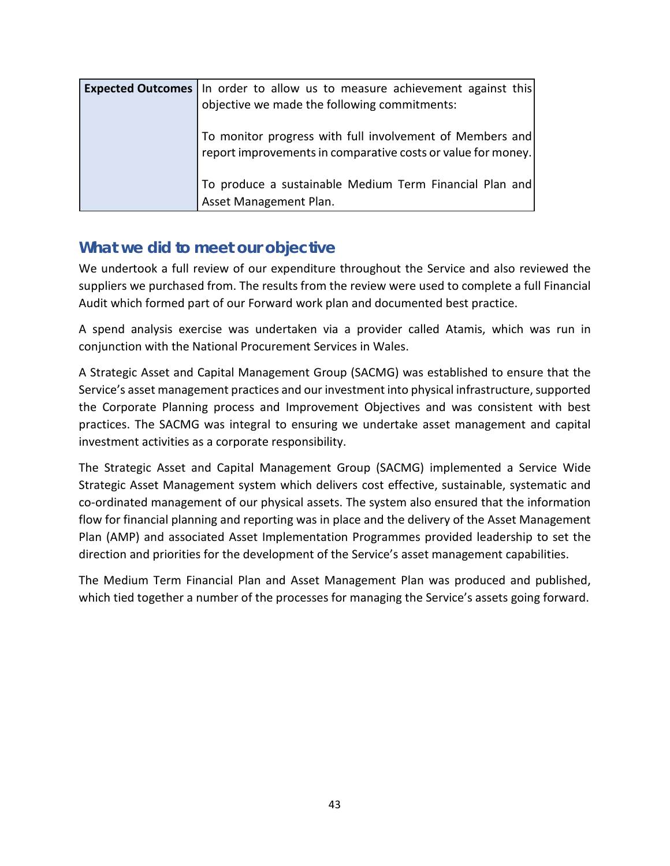| <b>Expected Outcomes</b> In order to allow us to measure achievement against this |
|-----------------------------------------------------------------------------------|
| objective we made the following commitments:                                      |
|                                                                                   |
| To monitor progress with full involvement of Members and                          |
| report improvements in comparative costs or value for money.                      |
|                                                                                   |
| To produce a sustainable Medium Term Financial Plan and                           |
| Asset Management Plan.                                                            |

We undertook a full review of our expenditure throughout the Service and also reviewed the suppliers we purchased from. The results from the review were used to complete a full Financial Audit which formed part of our Forward work plan and documented best practice.

A spend analysis exercise was undertaken via a provider called Atamis, which was run in conjunction with the National Procurement Services in Wales.

A Strategic Asset and Capital Management Group (SACMG) was established to ensure that the Service's asset management practices and our investment into physical infrastructure, supported the Corporate Planning process and Improvement Objectives and was consistent with best practices. The SACMG was integral to ensuring we undertake asset management and capital investment activities as a corporate responsibility.

The Strategic Asset and Capital Management Group (SACMG) implemented a Service Wide Strategic Asset Management system which delivers cost effective, sustainable, systematic and co-ordinated management of our physical assets. The system also ensured that the information flow for financial planning and reporting was in place and the delivery of the Asset Management Plan (AMP) and associated Asset Implementation Programmes provided leadership to set the direction and priorities for the development of the Service's asset management capabilities.

The Medium Term Financial Plan and Asset Management Plan was produced and published, which tied together a number of the processes for managing the Service's assets going forward.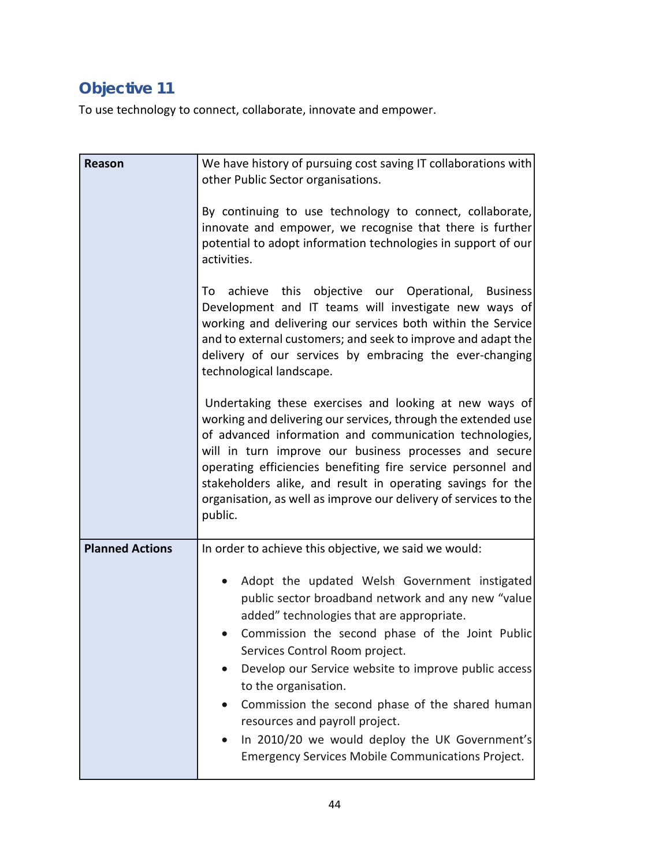# **Objective 11**

To use technology to connect, collaborate, innovate and empower.

| <b>Reason</b>          | We have history of pursuing cost saving IT collaborations with<br>other Public Sector organisations.<br>By continuing to use technology to connect, collaborate,<br>innovate and empower, we recognise that there is further<br>potential to adopt information technologies in support of our<br>activities.<br>this objective our Operational, Business<br>achieve<br>To<br>Development and IT teams will investigate new ways of<br>working and delivering our services both within the Service<br>and to external customers; and seek to improve and adapt the<br>delivery of our services by embracing the ever-changing<br>technological landscape.<br>Undertaking these exercises and looking at new ways of<br>working and delivering our services, through the extended use<br>of advanced information and communication technologies,<br>will in turn improve our business processes and secure<br>operating efficiencies benefiting fire service personnel and<br>stakeholders alike, and result in operating savings for the<br>organisation, as well as improve our delivery of services to the<br>public. |
|------------------------|------------------------------------------------------------------------------------------------------------------------------------------------------------------------------------------------------------------------------------------------------------------------------------------------------------------------------------------------------------------------------------------------------------------------------------------------------------------------------------------------------------------------------------------------------------------------------------------------------------------------------------------------------------------------------------------------------------------------------------------------------------------------------------------------------------------------------------------------------------------------------------------------------------------------------------------------------------------------------------------------------------------------------------------------------------------------------------------------------------------------|
| <b>Planned Actions</b> | In order to achieve this objective, we said we would:<br>Adopt the updated Welsh Government instigated<br>public sector broadband network and any new "value<br>added" technologies that are appropriate.<br>Commission the second phase of the Joint Public<br>Services Control Room project.<br>Develop our Service website to improve public access<br>to the organisation.<br>Commission the second phase of the shared human<br>resources and payroll project.<br>In 2010/20 we would deploy the UK Government's<br><b>Emergency Services Mobile Communications Project.</b>                                                                                                                                                                                                                                                                                                                                                                                                                                                                                                                                      |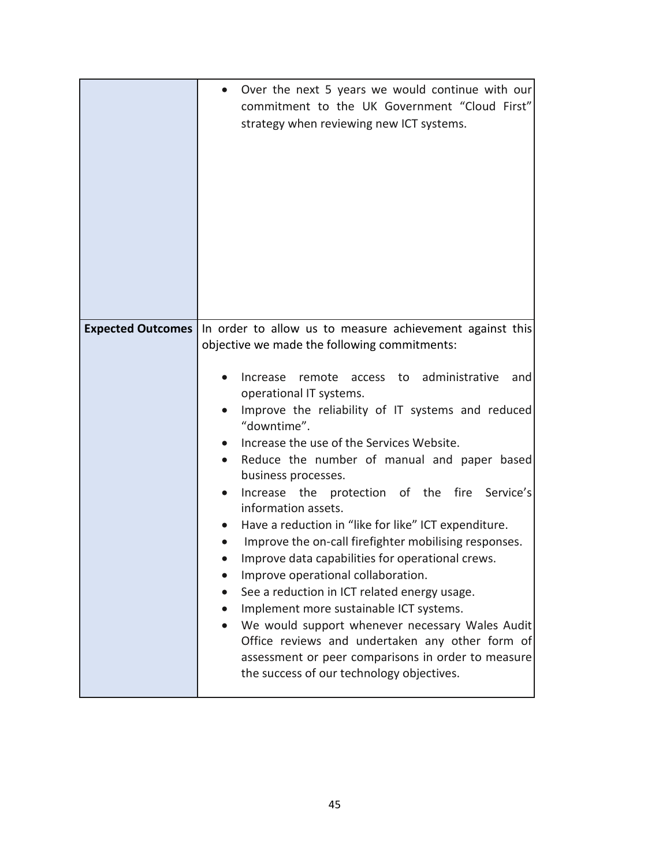|                          | Over the next 5 years we would continue with our<br>$\bullet$<br>commitment to the UK Government "Cloud First"<br>strategy when reviewing new ICT systems.                                                                                                                                                                                                                                                                                                                                                                                                                                                                                                                                                                                                                                                                                                                                                                                                                    |
|--------------------------|-------------------------------------------------------------------------------------------------------------------------------------------------------------------------------------------------------------------------------------------------------------------------------------------------------------------------------------------------------------------------------------------------------------------------------------------------------------------------------------------------------------------------------------------------------------------------------------------------------------------------------------------------------------------------------------------------------------------------------------------------------------------------------------------------------------------------------------------------------------------------------------------------------------------------------------------------------------------------------|
| <b>Expected Outcomes</b> | In order to allow us to measure achievement against this<br>objective we made the following commitments:<br>access to administrative<br>remote<br>Increase<br>and<br>operational IT systems.<br>Improve the reliability of IT systems and reduced<br>"downtime".<br>Increase the use of the Services Website.<br>Reduce the number of manual and paper based<br>business processes.<br>protection of the fire Service's<br>Increase the<br>information assets.<br>Have a reduction in "like for like" ICT expenditure.<br>Improve the on-call firefighter mobilising responses.<br>Improve data capabilities for operational crews.<br>Improve operational collaboration.<br>See a reduction in ICT related energy usage.<br>Implement more sustainable ICT systems.<br>We would support whenever necessary Wales Audit<br>Office reviews and undertaken any other form of<br>assessment or peer comparisons in order to measure<br>the success of our technology objectives. |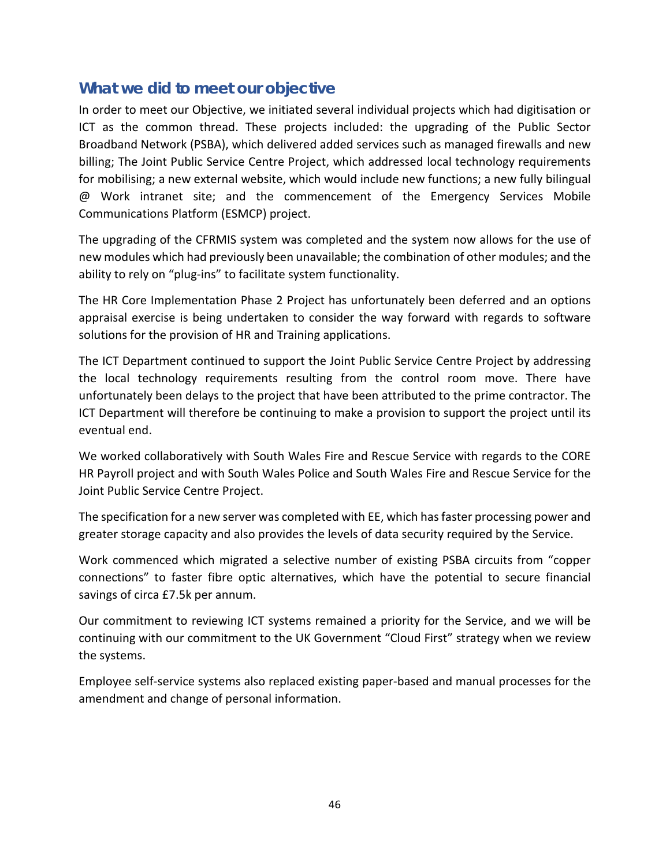In order to meet our Objective, we initiated several individual projects which had digitisation or ICT as the common thread. These projects included: the upgrading of the Public Sector Broadband Network (PSBA), which delivered added services such as managed firewalls and new billing; The Joint Public Service Centre Project, which addressed local technology requirements for mobilising; a new external website, which would include new functions; a new fully bilingual @ Work intranet site; and the commencement of the Emergency Services Mobile Communications Platform (ESMCP) project.

The upgrading of the CFRMIS system was completed and the system now allows for the use of new modules which had previously been unavailable; the combination of other modules; and the ability to rely on "plug-ins" to facilitate system functionality.

The HR Core Implementation Phase 2 Project has unfortunately been deferred and an options appraisal exercise is being undertaken to consider the way forward with regards to software solutions for the provision of HR and Training applications.

The ICT Department continued to support the Joint Public Service Centre Project by addressing the local technology requirements resulting from the control room move. There have unfortunately been delays to the project that have been attributed to the prime contractor. The ICT Department will therefore be continuing to make a provision to support the project until its eventual end.

We worked collaboratively with South Wales Fire and Rescue Service with regards to the CORE HR Payroll project and with South Wales Police and South Wales Fire and Rescue Service for the Joint Public Service Centre Project.

The specification for a new server was completed with EE, which has faster processing power and greater storage capacity and also provides the levels of data security required by the Service.

Work commenced which migrated a selective number of existing PSBA circuits from "copper connections" to faster fibre optic alternatives, which have the potential to secure financial savings of circa £7.5k per annum.

Our commitment to reviewing ICT systems remained a priority for the Service, and we will be continuing with our commitment to the UK Government "Cloud First" strategy when we review the systems.

Employee self-service systems also replaced existing paper-based and manual processes for the amendment and change of personal information.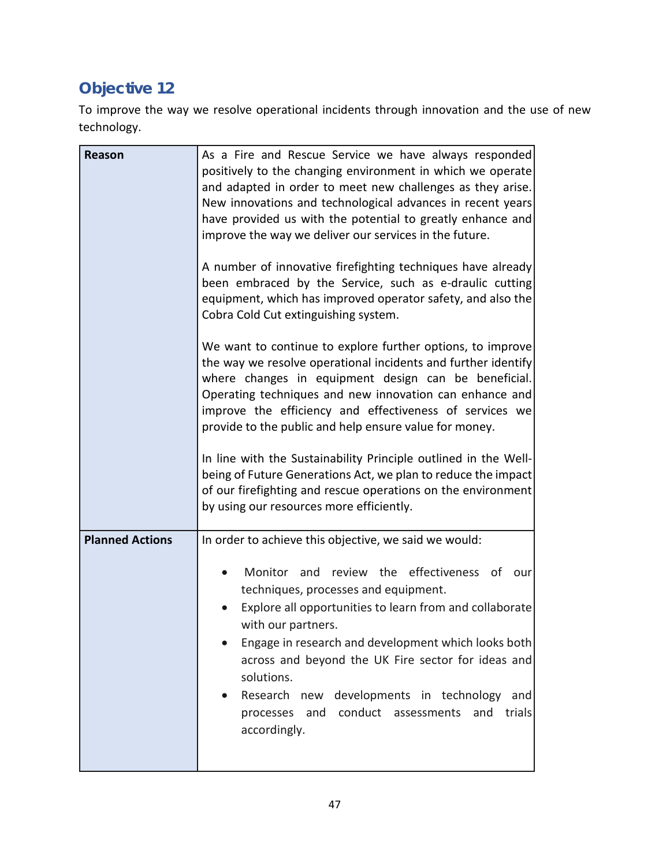# **Objective 12**

To improve the way we resolve operational incidents through innovation and the use of new technology.

| Reason                 | As a Fire and Rescue Service we have always responded<br>positively to the changing environment in which we operate<br>and adapted in order to meet new challenges as they arise.<br>New innovations and technological advances in recent years<br>have provided us with the potential to greatly enhance and<br>improve the way we deliver our services in the future.<br>A number of innovative firefighting techniques have already<br>been embraced by the Service, such as e-draulic cutting<br>equipment, which has improved operator safety, and also the<br>Cobra Cold Cut extinguishing system.<br>We want to continue to explore further options, to improve<br>the way we resolve operational incidents and further identify<br>where changes in equipment design can be beneficial.<br>Operating techniques and new innovation can enhance and<br>improve the efficiency and effectiveness of services we<br>provide to the public and help ensure value for money.<br>In line with the Sustainability Principle outlined in the Well-<br>being of Future Generations Act, we plan to reduce the impact<br>of our firefighting and rescue operations on the environment |
|------------------------|-------------------------------------------------------------------------------------------------------------------------------------------------------------------------------------------------------------------------------------------------------------------------------------------------------------------------------------------------------------------------------------------------------------------------------------------------------------------------------------------------------------------------------------------------------------------------------------------------------------------------------------------------------------------------------------------------------------------------------------------------------------------------------------------------------------------------------------------------------------------------------------------------------------------------------------------------------------------------------------------------------------------------------------------------------------------------------------------------------------------------------------------------------------------------------------|
| <b>Planned Actions</b> | In order to achieve this objective, we said we would:<br>Monitor and review the effectiveness of our<br>$\bullet$<br>techniques, processes and equipment.<br>Explore all opportunities to learn from and collaborate<br>with our partners.<br>Engage in research and development which looks both<br>across and beyond the UK Fire sector for ideas and<br>solutions.<br>Research new developments in technology<br>and<br>conduct assessments<br>and<br>and<br>trials<br>processes<br>accordingly.                                                                                                                                                                                                                                                                                                                                                                                                                                                                                                                                                                                                                                                                                 |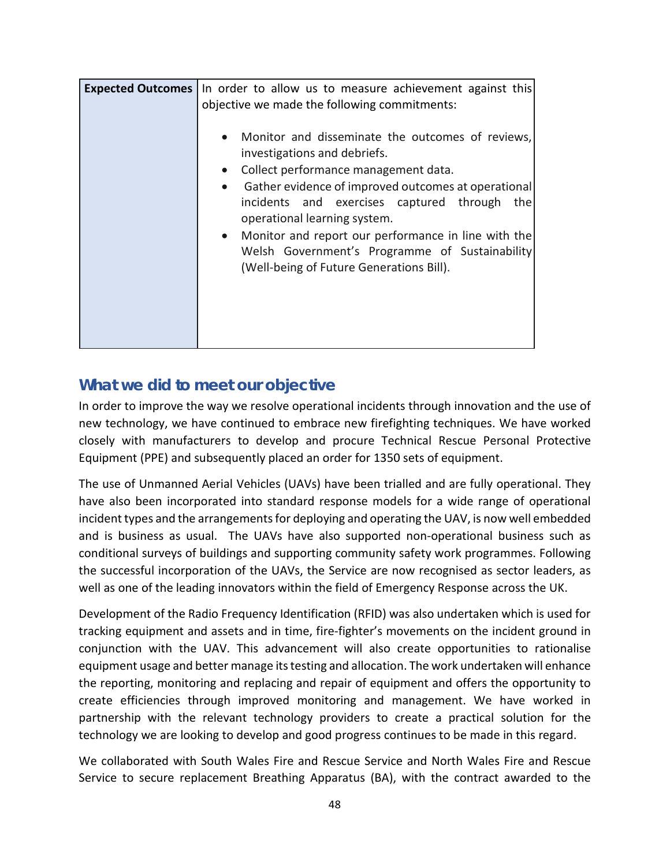| <b>Expected Outcomes</b> | In order to allow us to measure achievement against this<br>objective we made the following commitments:                                                                                                                                                                                                                                                                                                                                                                    |
|--------------------------|-----------------------------------------------------------------------------------------------------------------------------------------------------------------------------------------------------------------------------------------------------------------------------------------------------------------------------------------------------------------------------------------------------------------------------------------------------------------------------|
|                          | Monitor and disseminate the outcomes of reviews,<br>$\bullet$<br>investigations and debriefs.<br>Collect performance management data.<br>$\bullet$<br>Gather evidence of improved outcomes at operational<br>$\bullet$<br>incidents and exercises captured through<br>the<br>operational learning system.<br>Monitor and report our performance in line with the<br>$\bullet$<br>Welsh Government's Programme of Sustainability<br>(Well-being of Future Generations Bill). |

In order to improve the way we resolve operational incidents through innovation and the use of new technology, we have continued to embrace new firefighting techniques. We have worked closely with manufacturers to develop and procure Technical Rescue Personal Protective Equipment (PPE) and subsequently placed an order for 1350 sets of equipment.

The use of Unmanned Aerial Vehicles (UAVs) have been trialled and are fully operational. They have also been incorporated into standard response models for a wide range of operational incident types and the arrangements for deploying and operating the UAV, is now well embedded and is business as usual. The UAVs have also supported non-operational business such as conditional surveys of buildings and supporting community safety work programmes. Following the successful incorporation of the UAVs, the Service are now recognised as sector leaders, as well as one of the leading innovators within the field of Emergency Response across the UK.

Development of the Radio Frequency Identification (RFID) was also undertaken which is used for tracking equipment and assets and in time, fire-fighter's movements on the incident ground in conjunction with the UAV. This advancement will also create opportunities to rationalise equipment usage and better manage its testing and allocation. The work undertaken will enhance the reporting, monitoring and replacing and repair of equipment and offers the opportunity to create efficiencies through improved monitoring and management. We have worked in partnership with the relevant technology providers to create a practical solution for the technology we are looking to develop and good progress continues to be made in this regard.

We collaborated with South Wales Fire and Rescue Service and North Wales Fire and Rescue Service to secure replacement Breathing Apparatus (BA), with the contract awarded to the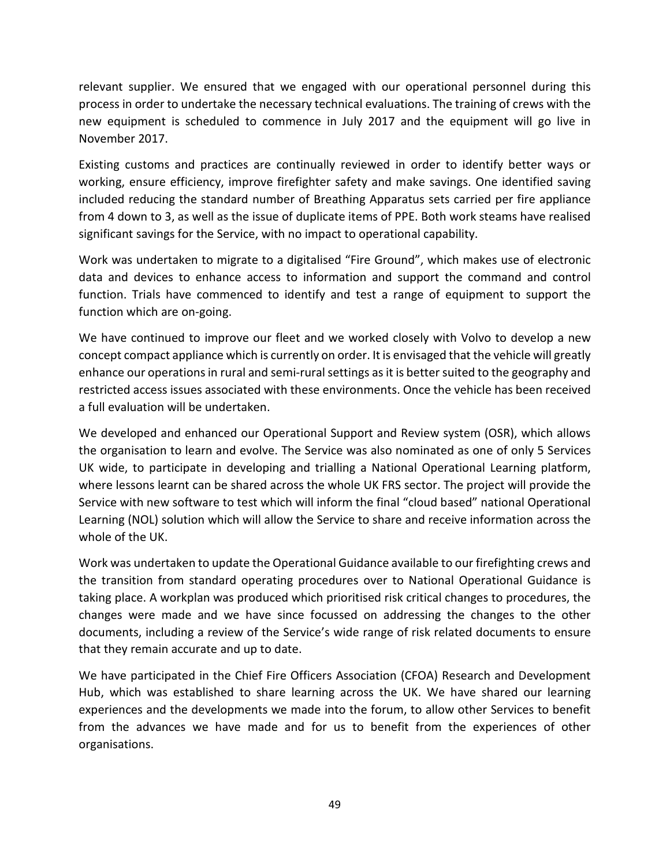relevant supplier. We ensured that we engaged with our operational personnel during this process in order to undertake the necessary technical evaluations. The training of crews with the new equipment is scheduled to commence in July 2017 and the equipment will go live in November 2017.

Existing customs and practices are continually reviewed in order to identify better ways or working, ensure efficiency, improve firefighter safety and make savings. One identified saving included reducing the standard number of Breathing Apparatus sets carried per fire appliance from 4 down to 3, as well as the issue of duplicate items of PPE. Both work steams have realised significant savings for the Service, with no impact to operational capability.

Work was undertaken to migrate to a digitalised "Fire Ground", which makes use of electronic data and devices to enhance access to information and support the command and control function. Trials have commenced to identify and test a range of equipment to support the function which are on-going.

We have continued to improve our fleet and we worked closely with Volvo to develop a new concept compact appliance which is currently on order. It is envisaged that the vehicle will greatly enhance our operations in rural and semi-rural settings as it is better suited to the geography and restricted access issues associated with these environments. Once the vehicle has been received a full evaluation will be undertaken.

We developed and enhanced our Operational Support and Review system (OSR), which allows the organisation to learn and evolve. The Service was also nominated as one of only 5 Services UK wide, to participate in developing and trialling a National Operational Learning platform, where lessons learnt can be shared across the whole UK FRS sector. The project will provide the Service with new software to test which will inform the final "cloud based" national Operational Learning (NOL) solution which will allow the Service to share and receive information across the whole of the UK.

Work was undertaken to update the Operational Guidance available to our firefighting crews and the transition from standard operating procedures over to National Operational Guidance is taking place. A workplan was produced which prioritised risk critical changes to procedures, the changes were made and we have since focussed on addressing the changes to the other documents, including a review of the Service's wide range of risk related documents to ensure that they remain accurate and up to date.

We have participated in the Chief Fire Officers Association (CFOA) Research and Development Hub, which was established to share learning across the UK. We have shared our learning experiences and the developments we made into the forum, to allow other Services to benefit from the advances we have made and for us to benefit from the experiences of other organisations.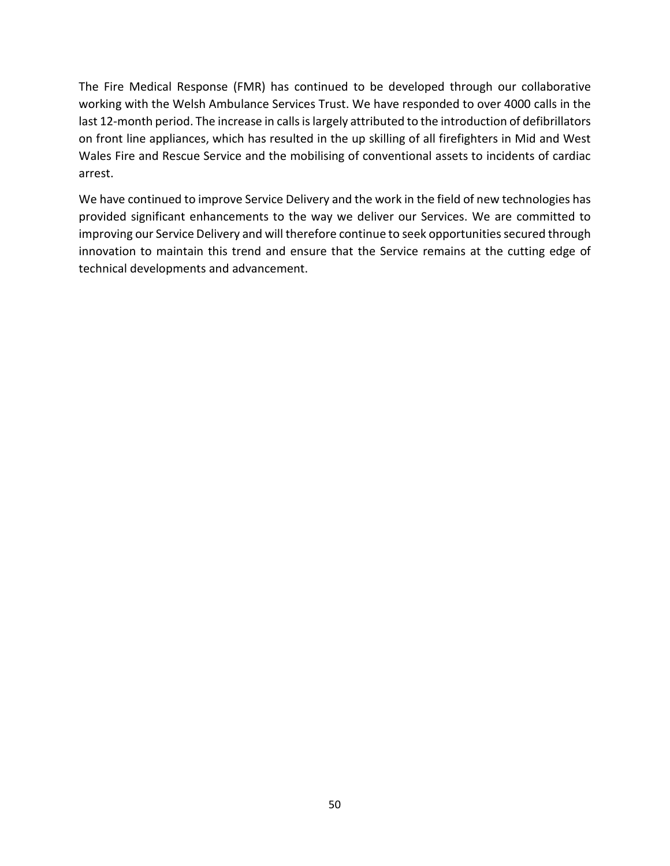The Fire Medical Response (FMR) has continued to be developed through our collaborative working with the Welsh Ambulance Services Trust. We have responded to over 4000 calls in the last 12-month period. The increase in calls is largely attributed to the introduction of defibrillators on front line appliances, which has resulted in the up skilling of all firefighters in Mid and West Wales Fire and Rescue Service and the mobilising of conventional assets to incidents of cardiac arrest.

We have continued to improve Service Delivery and the work in the field of new technologies has provided significant enhancements to the way we deliver our Services. We are committed to improving our Service Delivery and will therefore continue to seek opportunities secured through innovation to maintain this trend and ensure that the Service remains at the cutting edge of technical developments and advancement.